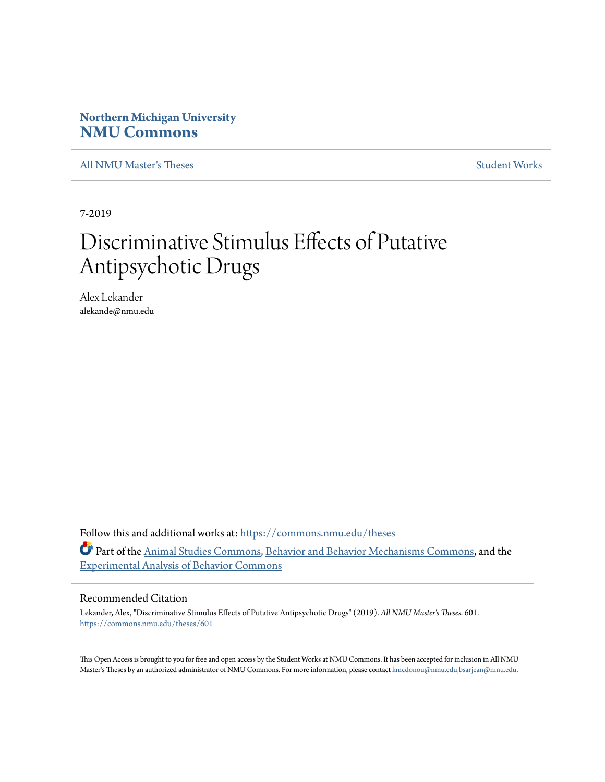# **Northern Michigan University [NMU Commons](https://commons.nmu.edu/?utm_source=commons.nmu.edu%2Ftheses%2F601&utm_medium=PDF&utm_campaign=PDFCoverPages)**

[All NMU Master's Theses](https://commons.nmu.edu/theses?utm_source=commons.nmu.edu%2Ftheses%2F601&utm_medium=PDF&utm_campaign=PDFCoverPages) [Student Works](https://commons.nmu.edu/student_works?utm_source=commons.nmu.edu%2Ftheses%2F601&utm_medium=PDF&utm_campaign=PDFCoverPages)

7-2019

# Discriminative Stimulus Effects of Putative Antipsychotic Drugs

Alex Lekander alekande@nmu.edu

Follow this and additional works at: [https://commons.nmu.edu/theses](https://commons.nmu.edu/theses?utm_source=commons.nmu.edu%2Ftheses%2F601&utm_medium=PDF&utm_campaign=PDFCoverPages) Part of the [Animal Studies Commons](http://network.bepress.com/hgg/discipline/1306?utm_source=commons.nmu.edu%2Ftheses%2F601&utm_medium=PDF&utm_campaign=PDFCoverPages), [Behavior and Behavior Mechanisms Commons,](http://network.bepress.com/hgg/discipline/963?utm_source=commons.nmu.edu%2Ftheses%2F601&utm_medium=PDF&utm_campaign=PDFCoverPages) and the [Experimental Analysis of Behavior Commons](http://network.bepress.com/hgg/discipline/1236?utm_source=commons.nmu.edu%2Ftheses%2F601&utm_medium=PDF&utm_campaign=PDFCoverPages)

#### Recommended Citation

Lekander, Alex, "Discriminative Stimulus Effects of Putative Antipsychotic Drugs" (2019). *All NMU Master's Theses*. 601. [https://commons.nmu.edu/theses/601](https://commons.nmu.edu/theses/601?utm_source=commons.nmu.edu%2Ftheses%2F601&utm_medium=PDF&utm_campaign=PDFCoverPages)

This Open Access is brought to you for free and open access by the Student Works at NMU Commons. It has been accepted for inclusion in All NMU Master's Theses by an authorized administrator of NMU Commons. For more information, please contact [kmcdonou@nmu.edu,bsarjean@nmu.edu.](mailto:kmcdonou@nmu.edu,bsarjean@nmu.edu)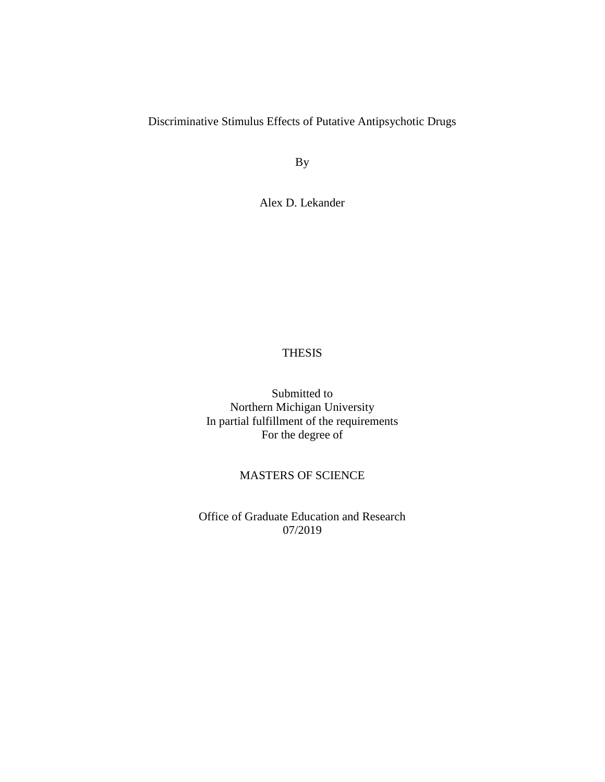# Discriminative Stimulus Effects of Putative Antipsychotic Drugs

By

Alex D. Lekander

## THESIS

Submitted to Northern Michigan University In partial fulfillment of the requirements For the degree of

# MASTERS OF SCIENCE

Office of Graduate Education and Research 07/2019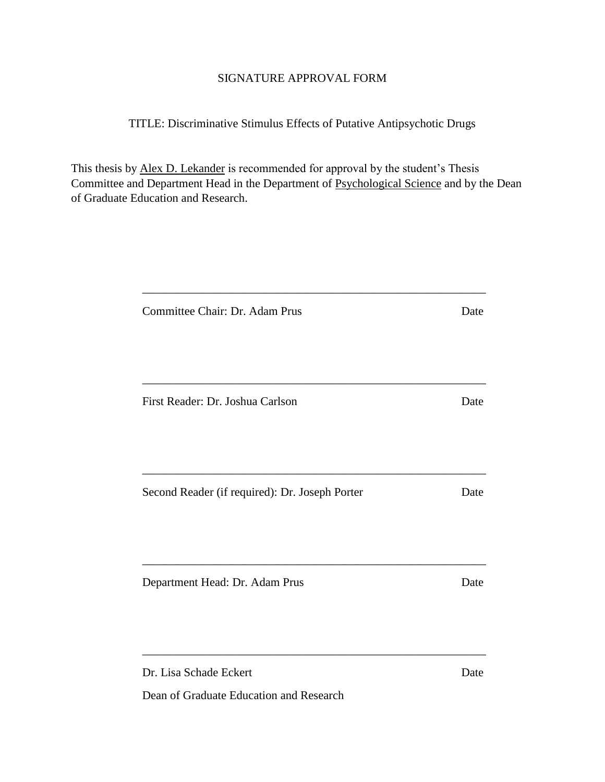# SIGNATURE APPROVAL FORM

# TITLE: Discriminative Stimulus Effects of Putative Antipsychotic Drugs

This thesis by Alex D. Lekander is recommended for approval by the student's Thesis Committee and Department Head in the Department of Psychological Science and by the Dean of Graduate Education and Research.

\_\_\_\_\_\_\_\_\_\_\_\_\_\_\_\_\_\_\_\_\_\_\_\_\_\_\_\_\_\_\_\_\_\_\_\_\_\_\_\_\_\_\_\_\_\_\_\_\_\_\_\_\_\_\_\_\_\_

| Committee Chair: Dr. Adam Prus                 | Date |
|------------------------------------------------|------|
|                                                |      |
| First Reader: Dr. Joshua Carlson               | Date |
| Second Reader (if required): Dr. Joseph Porter | Date |
| Department Head: Dr. Adam Prus                 | Date |
| Dr. Lisa Schade Eckert                         | Date |

Dean of Graduate Education and Research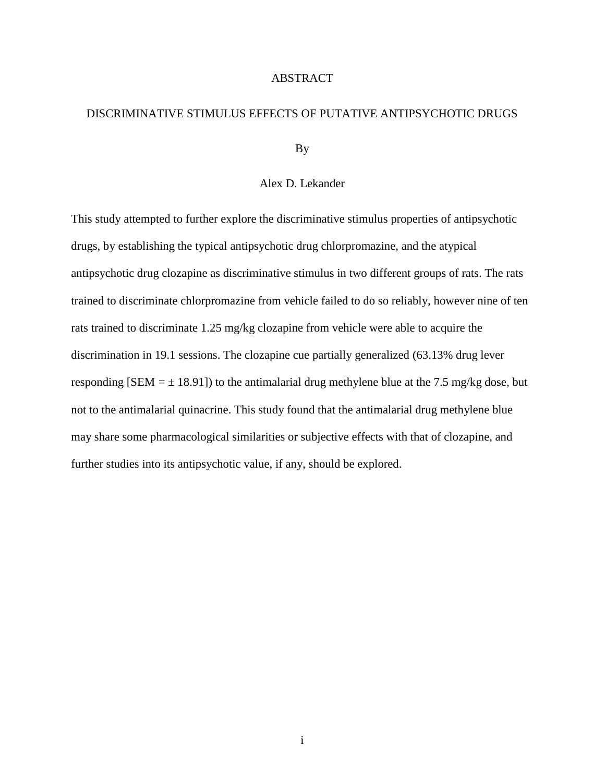#### ABSTRACT

## DISCRIMINATIVE STIMULUS EFFECTS OF PUTATIVE ANTIPSYCHOTIC DRUGS

By

#### Alex D. Lekander

This study attempted to further explore the discriminative stimulus properties of antipsychotic drugs, by establishing the typical antipsychotic drug chlorpromazine, and the atypical antipsychotic drug clozapine as discriminative stimulus in two different groups of rats. The rats trained to discriminate chlorpromazine from vehicle failed to do so reliably, however nine of ten rats trained to discriminate 1.25 mg/kg clozapine from vehicle were able to acquire the discrimination in 19.1 sessions. The clozapine cue partially generalized (63.13% drug lever responding [SEM  $= \pm 18.91$ ]) to the antimalarial drug methylene blue at the 7.5 mg/kg dose, but not to the antimalarial quinacrine. This study found that the antimalarial drug methylene blue may share some pharmacological similarities or subjective effects with that of clozapine, and further studies into its antipsychotic value, if any, should be explored.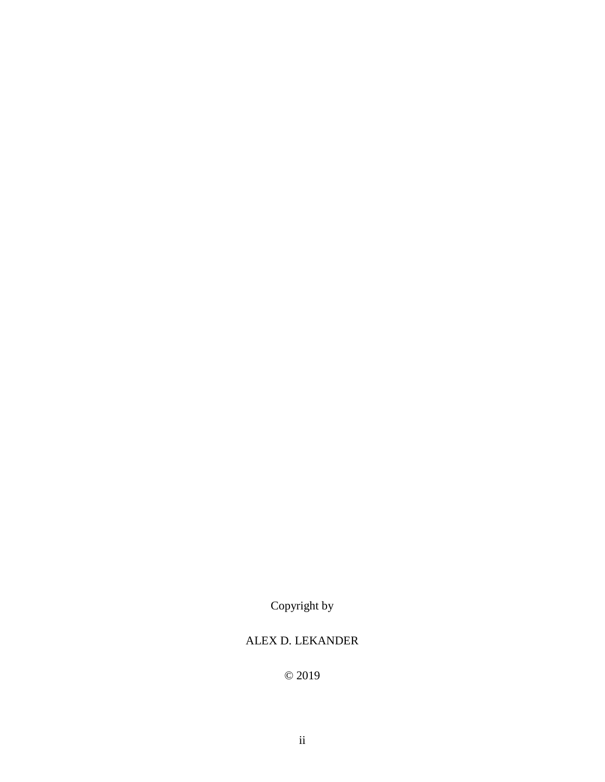Copyright by

# ALEX D. LEKANDER

© 2019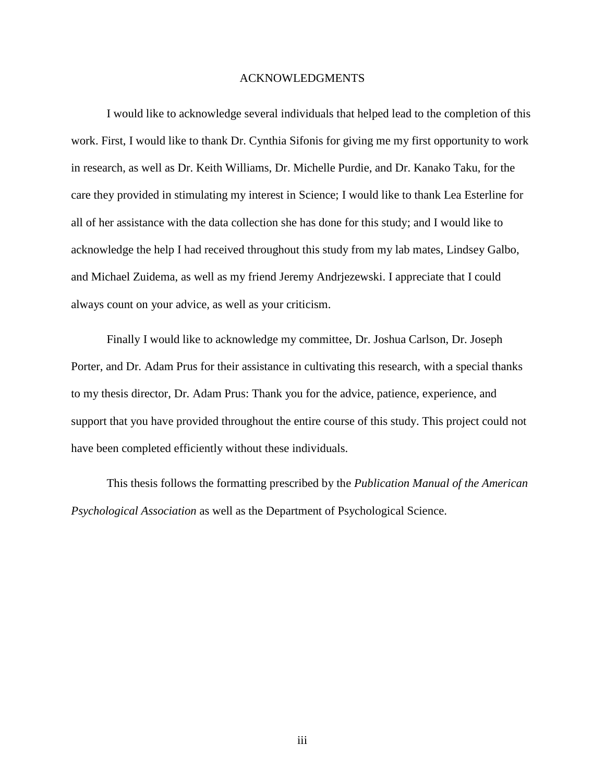#### ACKNOWLEDGMENTS

I would like to acknowledge several individuals that helped lead to the completion of this work. First, I would like to thank Dr. Cynthia Sifonis for giving me my first opportunity to work in research, as well as Dr. Keith Williams, Dr. Michelle Purdie, and Dr. Kanako Taku, for the care they provided in stimulating my interest in Science; I would like to thank Lea Esterline for all of her assistance with the data collection she has done for this study; and I would like to acknowledge the help I had received throughout this study from my lab mates, Lindsey Galbo, and Michael Zuidema, as well as my friend Jeremy Andrjezewski. I appreciate that I could always count on your advice, as well as your criticism.

Finally I would like to acknowledge my committee, Dr. Joshua Carlson, Dr. Joseph Porter, and Dr. Adam Prus for their assistance in cultivating this research, with a special thanks to my thesis director, Dr. Adam Prus: Thank you for the advice, patience, experience, and support that you have provided throughout the entire course of this study. This project could not have been completed efficiently without these individuals.

This thesis follows the formatting prescribed by the *Publication Manual of the American Psychological Association* as well as the Department of Psychological Science.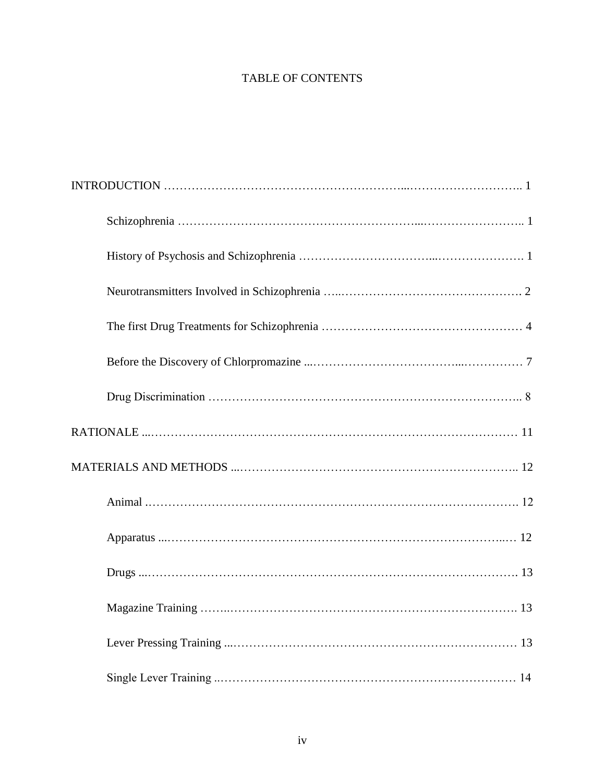# TABLE OF CONTENTS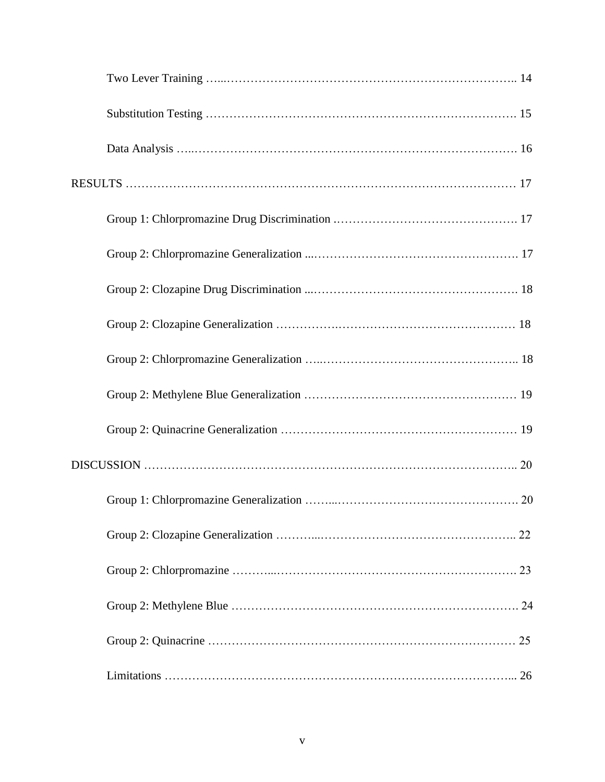| 22 |
|----|
|    |
|    |
|    |
|    |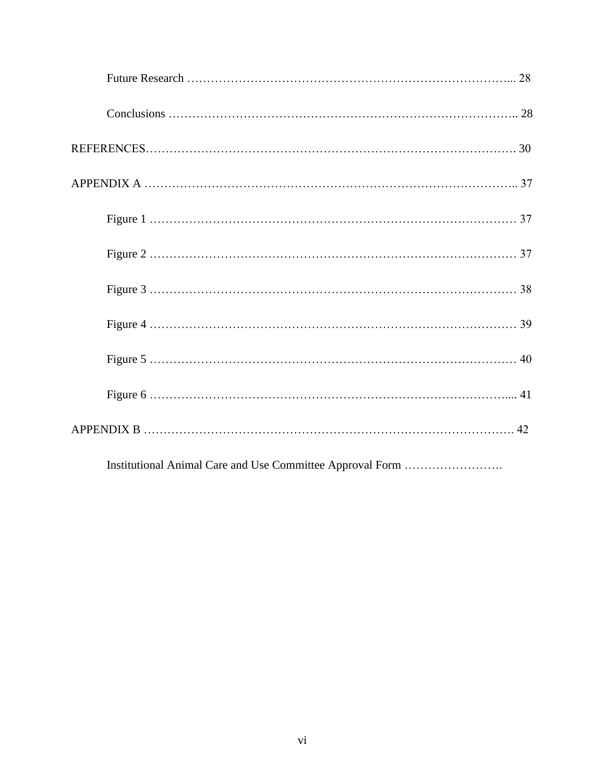Institutional Animal Care and Use Committee Approval Form …………………….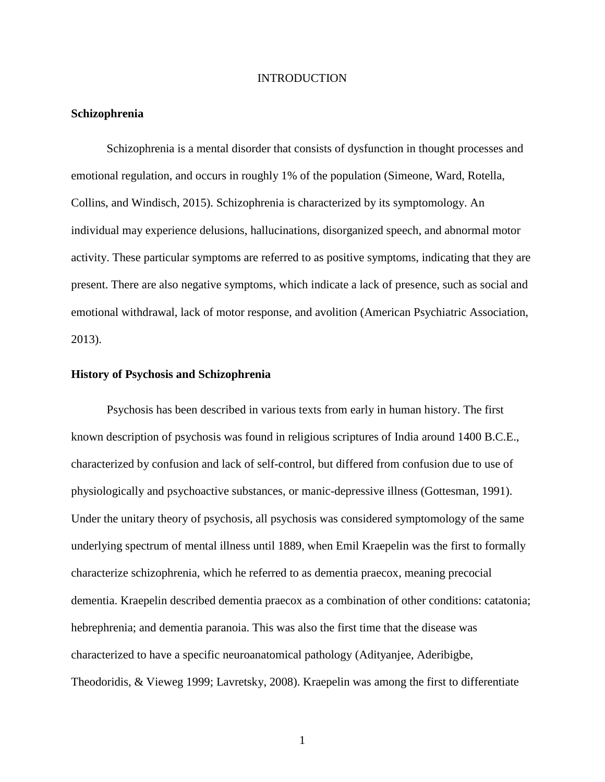#### INTRODUCTION

#### **Schizophrenia**

Schizophrenia is a mental disorder that consists of dysfunction in thought processes and emotional regulation, and occurs in roughly 1% of the population (Simeone, Ward, Rotella, Collins, and Windisch, 2015). Schizophrenia is characterized by its symptomology. An individual may experience delusions, hallucinations, disorganized speech, and abnormal motor activity. These particular symptoms are referred to as positive symptoms, indicating that they are present. There are also negative symptoms, which indicate a lack of presence, such as social and emotional withdrawal, lack of motor response, and avolition (American Psychiatric Association, 2013).

#### **History of Psychosis and Schizophrenia**

Psychosis has been described in various texts from early in human history. The first known description of psychosis was found in religious scriptures of India around 1400 B.C.E., characterized by confusion and lack of self-control, but differed from confusion due to use of physiologically and psychoactive substances, or manic-depressive illness (Gottesman, 1991). Under the unitary theory of psychosis, all psychosis was considered symptomology of the same underlying spectrum of mental illness until 1889, when Emil Kraepelin was the first to formally characterize schizophrenia, which he referred to as dementia praecox, meaning precocial dementia. Kraepelin described dementia praecox as a combination of other conditions: catatonia; hebrephrenia; and dementia paranoia. This was also the first time that the disease was characterized to have a specific neuroanatomical pathology (Adityanjee, Aderibigbe, Theodoridis, & Vieweg 1999; Lavretsky, 2008). Kraepelin was among the first to differentiate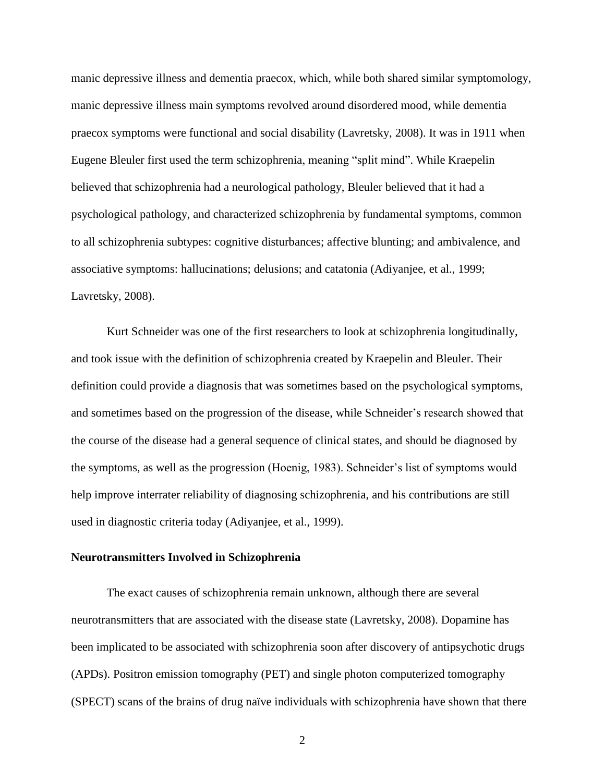manic depressive illness and dementia praecox, which, while both shared similar symptomology, manic depressive illness main symptoms revolved around disordered mood, while dementia praecox symptoms were functional and social disability (Lavretsky, 2008). It was in 1911 when Eugene Bleuler first used the term schizophrenia, meaning "split mind". While Kraepelin believed that schizophrenia had a neurological pathology, Bleuler believed that it had a psychological pathology, and characterized schizophrenia by fundamental symptoms, common to all schizophrenia subtypes: cognitive disturbances; affective blunting; and ambivalence, and associative symptoms: hallucinations; delusions; and catatonia (Adiyanjee, et al., 1999; Lavretsky, 2008).

Kurt Schneider was one of the first researchers to look at schizophrenia longitudinally, and took issue with the definition of schizophrenia created by Kraepelin and Bleuler. Their definition could provide a diagnosis that was sometimes based on the psychological symptoms, and sometimes based on the progression of the disease, while Schneider's research showed that the course of the disease had a general sequence of clinical states, and should be diagnosed by the symptoms, as well as the progression (Hoenig, 1983). Schneider's list of symptoms would help improve interrater reliability of diagnosing schizophrenia, and his contributions are still used in diagnostic criteria today (Adiyanjee, et al., 1999).

#### **Neurotransmitters Involved in Schizophrenia**

The exact causes of schizophrenia remain unknown, although there are several neurotransmitters that are associated with the disease state (Lavretsky, 2008). Dopamine has been implicated to be associated with schizophrenia soon after discovery of antipsychotic drugs (APDs). Positron emission tomography (PET) and single photon computerized tomography (SPECT) scans of the brains of drug naïve individuals with schizophrenia have shown that there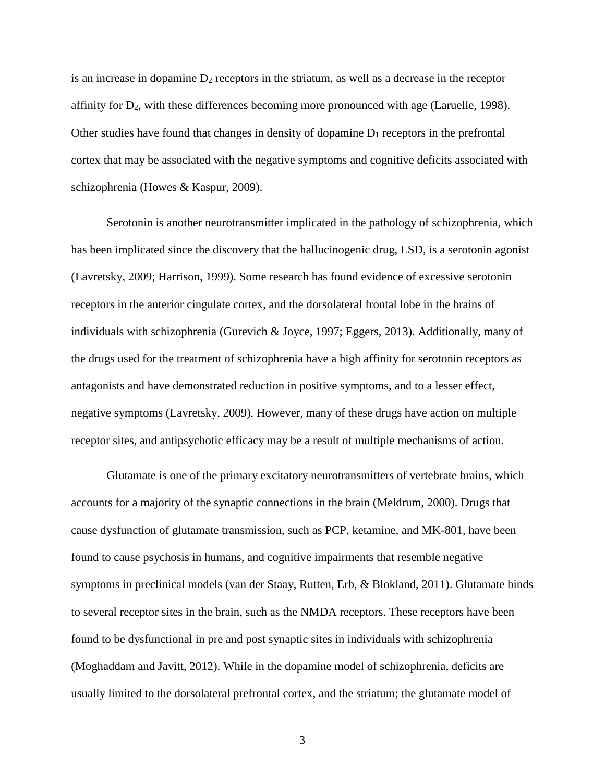is an increase in dopamine  $D_2$  receptors in the striatum, as well as a decrease in the receptor affinity for  $D_2$ , with these differences becoming more pronounced with age (Laruelle, 1998). Other studies have found that changes in density of dopamine  $D_1$  receptors in the prefrontal cortex that may be associated with the negative symptoms and cognitive deficits associated with schizophrenia (Howes & Kaspur, 2009).

Serotonin is another neurotransmitter implicated in the pathology of schizophrenia, which has been implicated since the discovery that the hallucinogenic drug, LSD, is a serotonin agonist (Lavretsky, 2009; Harrison, 1999). Some research has found evidence of excessive serotonin receptors in the anterior cingulate cortex, and the dorsolateral frontal lobe in the brains of individuals with schizophrenia (Gurevich & Joyce, 1997; Eggers, 2013). Additionally, many of the drugs used for the treatment of schizophrenia have a high affinity for serotonin receptors as antagonists and have demonstrated reduction in positive symptoms, and to a lesser effect, negative symptoms (Lavretsky, 2009). However, many of these drugs have action on multiple receptor sites, and antipsychotic efficacy may be a result of multiple mechanisms of action.

Glutamate is one of the primary excitatory neurotransmitters of vertebrate brains, which accounts for a majority of the synaptic connections in the brain (Meldrum, 2000). Drugs that cause dysfunction of glutamate transmission, such as PCP, ketamine, and MK-801, have been found to cause psychosis in humans, and cognitive impairments that resemble negative symptoms in preclinical models (van der Staay, Rutten, Erb, & Blokland, 2011). Glutamate binds to several receptor sites in the brain, such as the NMDA receptors. These receptors have been found to be dysfunctional in pre and post synaptic sites in individuals with schizophrenia (Moghaddam and Javitt, 2012). While in the dopamine model of schizophrenia, deficits are usually limited to the dorsolateral prefrontal cortex, and the striatum; the glutamate model of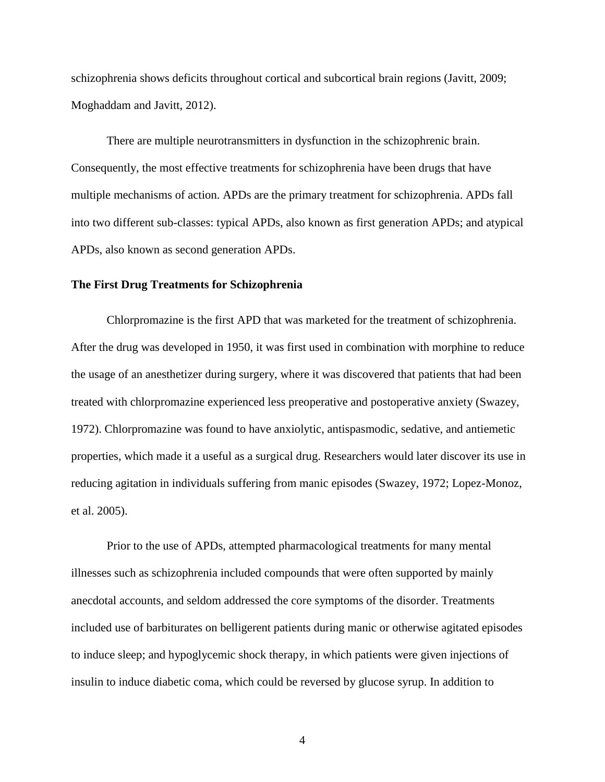schizophrenia shows deficits throughout cortical and subcortical brain regions (Javitt, 2009; Moghaddam and Javitt, 2012).

There are multiple neurotransmitters in dysfunction in the schizophrenic brain. Consequently, the most effective treatments for schizophrenia have been drugs that have multiple mechanisms of action. APDs are the primary treatment for schizophrenia. APDs fall into two different sub-classes: typical APDs, also known as first generation APDs; and atypical APDs, also known as second generation APDs.

#### **The First Drug Treatments for Schizophrenia**

Chlorpromazine is the first APD that was marketed for the treatment of schizophrenia. After the drug was developed in 1950, it was first used in combination with morphine to reduce the usage of an anesthetizer during surgery, where it was discovered that patients that had been treated with chlorpromazine experienced less preoperative and postoperative anxiety (Swazey, 1972). Chlorpromazine was found to have anxiolytic, antispasmodic, sedative, and antiemetic properties, which made it a useful as a surgical drug. Researchers would later discover its use in reducing agitation in individuals suffering from manic episodes (Swazey, 1972; Lopez-Monoz, et al. 2005).

Prior to the use of APDs, attempted pharmacological treatments for many mental illnesses such as schizophrenia included compounds that were often supported by mainly anecdotal accounts, and seldom addressed the core symptoms of the disorder. Treatments included use of barbiturates on belligerent patients during manic or otherwise agitated episodes to induce sleep; and hypoglycemic shock therapy, in which patients were given injections of insulin to induce diabetic coma, which could be reversed by glucose syrup. In addition to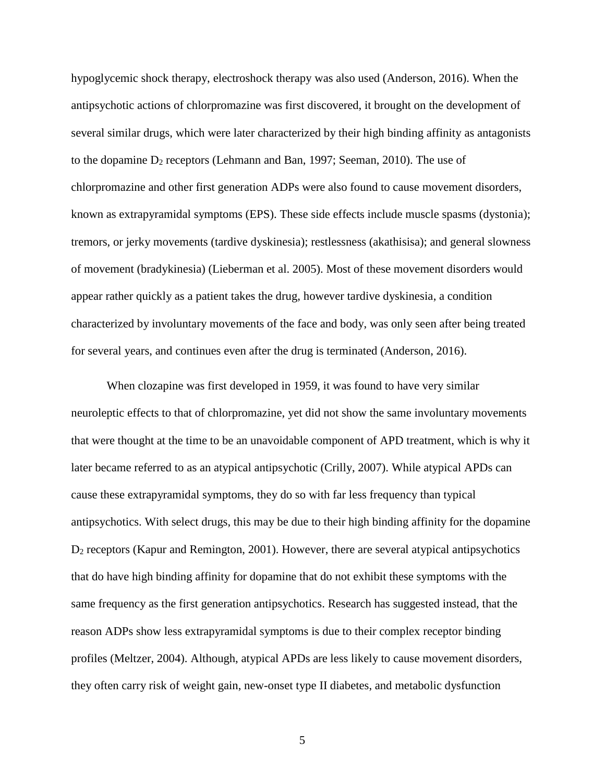hypoglycemic shock therapy, electroshock therapy was also used (Anderson, 2016). When the antipsychotic actions of chlorpromazine was first discovered, it brought on the development of several similar drugs, which were later characterized by their high binding affinity as antagonists to the dopamine D<sup>2</sup> receptors (Lehmann and Ban, 1997; Seeman, 2010). The use of chlorpromazine and other first generation ADPs were also found to cause movement disorders, known as extrapyramidal symptoms (EPS). These side effects include muscle spasms (dystonia); tremors, or jerky movements (tardive dyskinesia); restlessness (akathisisa); and general slowness of movement (bradykinesia) (Lieberman et al. 2005). Most of these movement disorders would appear rather quickly as a patient takes the drug, however tardive dyskinesia, a condition characterized by involuntary movements of the face and body, was only seen after being treated for several years, and continues even after the drug is terminated (Anderson, 2016).

When clozapine was first developed in 1959, it was found to have very similar neuroleptic effects to that of chlorpromazine, yet did not show the same involuntary movements that were thought at the time to be an unavoidable component of APD treatment, which is why it later became referred to as an atypical antipsychotic (Crilly, 2007). While atypical APDs can cause these extrapyramidal symptoms, they do so with far less frequency than typical antipsychotics. With select drugs, this may be due to their high binding affinity for the dopamine D<sup>2</sup> receptors (Kapur and Remington, 2001). However, there are several atypical antipsychotics that do have high binding affinity for dopamine that do not exhibit these symptoms with the same frequency as the first generation antipsychotics. Research has suggested instead, that the reason ADPs show less extrapyramidal symptoms is due to their complex receptor binding profiles (Meltzer, 2004). Although, atypical APDs are less likely to cause movement disorders, they often carry risk of weight gain, new-onset type II diabetes, and metabolic dysfunction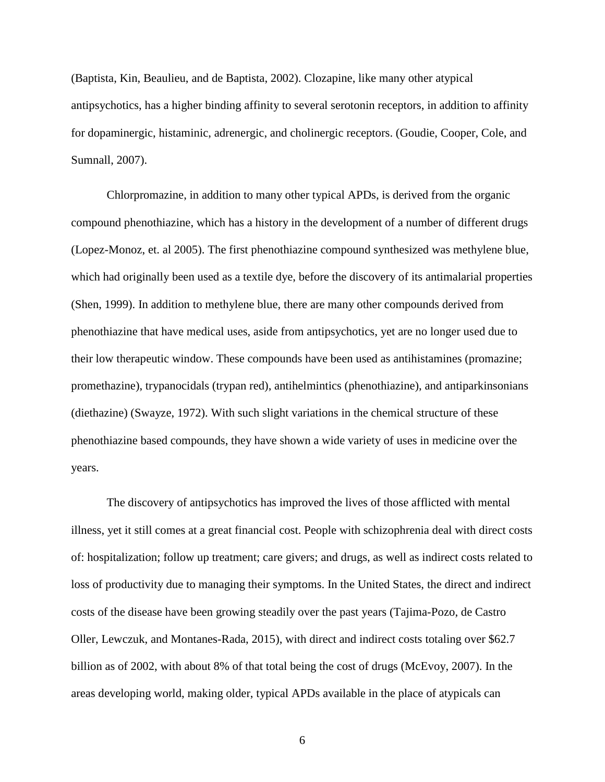(Baptista, Kin, Beaulieu, and de Baptista, 2002). Clozapine, like many other atypical antipsychotics, has a higher binding affinity to several serotonin receptors, in addition to affinity for dopaminergic, histaminic, adrenergic, and cholinergic receptors. (Goudie, Cooper, Cole, and Sumnall, 2007).

Chlorpromazine, in addition to many other typical APDs, is derived from the organic compound phenothiazine, which has a history in the development of a number of different drugs (Lopez-Monoz, et. al 2005). The first phenothiazine compound synthesized was methylene blue, which had originally been used as a textile dye, before the discovery of its antimalarial properties (Shen, 1999). In addition to methylene blue, there are many other compounds derived from phenothiazine that have medical uses, aside from antipsychotics, yet are no longer used due to their low therapeutic window. These compounds have been used as antihistamines (promazine; promethazine), trypanocidals (trypan red), antihelmintics (phenothiazine), and antiparkinsonians (diethazine) (Swayze, 1972). With such slight variations in the chemical structure of these phenothiazine based compounds, they have shown a wide variety of uses in medicine over the years.

The discovery of antipsychotics has improved the lives of those afflicted with mental illness, yet it still comes at a great financial cost. People with schizophrenia deal with direct costs of: hospitalization; follow up treatment; care givers; and drugs, as well as indirect costs related to loss of productivity due to managing their symptoms. In the United States, the direct and indirect costs of the disease have been growing steadily over the past years (Tajima-Pozo, de Castro Oller, Lewczuk, and Montanes-Rada, 2015), with direct and indirect costs totaling over \$62.7 billion as of 2002, with about 8% of that total being the cost of drugs (McEvoy, 2007). In the areas developing world, making older, typical APDs available in the place of atypicals can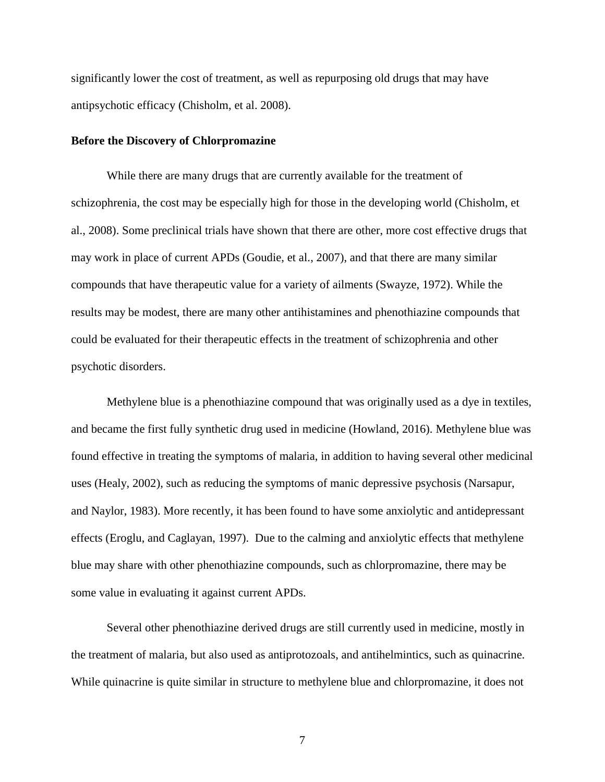significantly lower the cost of treatment, as well as repurposing old drugs that may have antipsychotic efficacy (Chisholm, et al. 2008).

#### **Before the Discovery of Chlorpromazine**

While there are many drugs that are currently available for the treatment of schizophrenia, the cost may be especially high for those in the developing world (Chisholm, et al., 2008). Some preclinical trials have shown that there are other, more cost effective drugs that may work in place of current APDs (Goudie, et al., 2007), and that there are many similar compounds that have therapeutic value for a variety of ailments (Swayze, 1972). While the results may be modest, there are many other antihistamines and phenothiazine compounds that could be evaluated for their therapeutic effects in the treatment of schizophrenia and other psychotic disorders.

Methylene blue is a phenothiazine compound that was originally used as a dye in textiles, and became the first fully synthetic drug used in medicine (Howland, 2016). Methylene blue was found effective in treating the symptoms of malaria, in addition to having several other medicinal uses (Healy, 2002), such as reducing the symptoms of manic depressive psychosis (Narsapur, and Naylor, 1983). More recently, it has been found to have some anxiolytic and antidepressant effects (Eroglu, and Caglayan, 1997). Due to the calming and anxiolytic effects that methylene blue may share with other phenothiazine compounds, such as chlorpromazine, there may be some value in evaluating it against current APDs.

Several other phenothiazine derived drugs are still currently used in medicine, mostly in the treatment of malaria, but also used as antiprotozoals, and antihelmintics, such as quinacrine. While quinacrine is quite similar in structure to methylene blue and chlorpromazine, it does not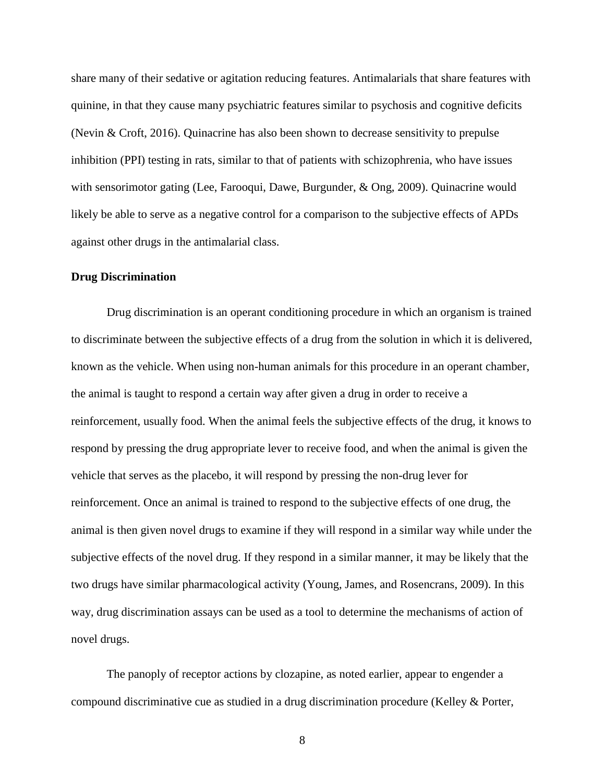share many of their sedative or agitation reducing features. Antimalarials that share features with quinine, in that they cause many psychiatric features similar to psychosis and cognitive deficits (Nevin & Croft, 2016). Quinacrine has also been shown to decrease sensitivity to prepulse inhibition (PPI) testing in rats, similar to that of patients with schizophrenia, who have issues with sensorimotor gating (Lee, Farooqui, Dawe, Burgunder, & Ong, 2009). Quinacrine would likely be able to serve as a negative control for a comparison to the subjective effects of APDs against other drugs in the antimalarial class.

#### **Drug Discrimination**

Drug discrimination is an operant conditioning procedure in which an organism is trained to discriminate between the subjective effects of a drug from the solution in which it is delivered, known as the vehicle. When using non-human animals for this procedure in an operant chamber, the animal is taught to respond a certain way after given a drug in order to receive a reinforcement, usually food. When the animal feels the subjective effects of the drug, it knows to respond by pressing the drug appropriate lever to receive food, and when the animal is given the vehicle that serves as the placebo, it will respond by pressing the non-drug lever for reinforcement. Once an animal is trained to respond to the subjective effects of one drug, the animal is then given novel drugs to examine if they will respond in a similar way while under the subjective effects of the novel drug. If they respond in a similar manner, it may be likely that the two drugs have similar pharmacological activity (Young, James, and Rosencrans, 2009). In this way, drug discrimination assays can be used as a tool to determine the mechanisms of action of novel drugs.

The panoply of receptor actions by clozapine, as noted earlier, appear to engender a compound discriminative cue as studied in a drug discrimination procedure (Kelley & Porter,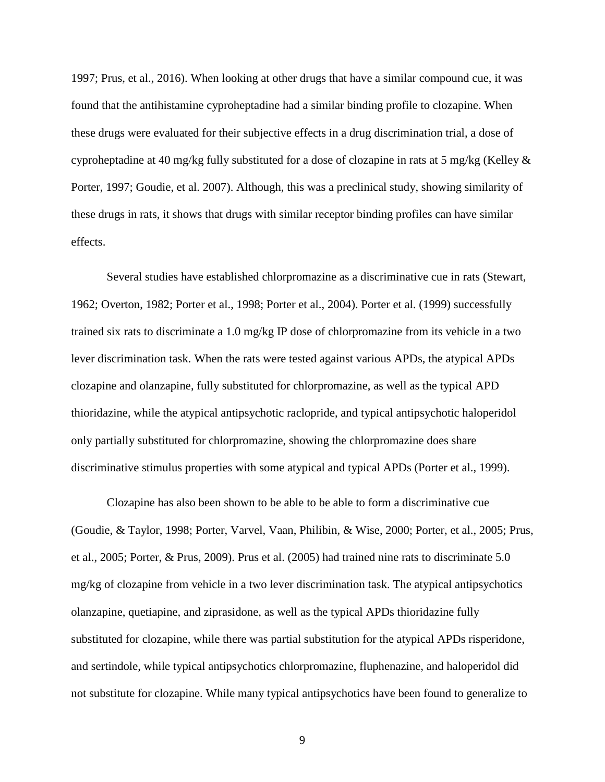1997; Prus, et al., 2016). When looking at other drugs that have a similar compound cue, it was found that the antihistamine cyproheptadine had a similar binding profile to clozapine. When these drugs were evaluated for their subjective effects in a drug discrimination trial, a dose of cyproheptadine at 40 mg/kg fully substituted for a dose of clozapine in rats at 5 mg/kg (Kelley & Porter, 1997; Goudie, et al. 2007). Although, this was a preclinical study, showing similarity of these drugs in rats, it shows that drugs with similar receptor binding profiles can have similar effects.

Several studies have established chlorpromazine as a discriminative cue in rats (Stewart, 1962; Overton, 1982; Porter et al., 1998; Porter et al., 2004). Porter et al. (1999) successfully trained six rats to discriminate a 1.0 mg/kg IP dose of chlorpromazine from its vehicle in a two lever discrimination task. When the rats were tested against various APDs, the atypical APDs clozapine and olanzapine, fully substituted for chlorpromazine, as well as the typical APD thioridazine, while the atypical antipsychotic raclopride, and typical antipsychotic haloperidol only partially substituted for chlorpromazine, showing the chlorpromazine does share discriminative stimulus properties with some atypical and typical APDs (Porter et al., 1999).

Clozapine has also been shown to be able to be able to form a discriminative cue (Goudie, & Taylor, 1998; Porter, Varvel, Vaan, Philibin, & Wise, 2000; Porter, et al., 2005; Prus, et al., 2005; Porter, & Prus, 2009). Prus et al. (2005) had trained nine rats to discriminate 5.0 mg/kg of clozapine from vehicle in a two lever discrimination task. The atypical antipsychotics olanzapine, quetiapine, and ziprasidone, as well as the typical APDs thioridazine fully substituted for clozapine, while there was partial substitution for the atypical APDs risperidone, and sertindole, while typical antipsychotics chlorpromazine, fluphenazine, and haloperidol did not substitute for clozapine. While many typical antipsychotics have been found to generalize to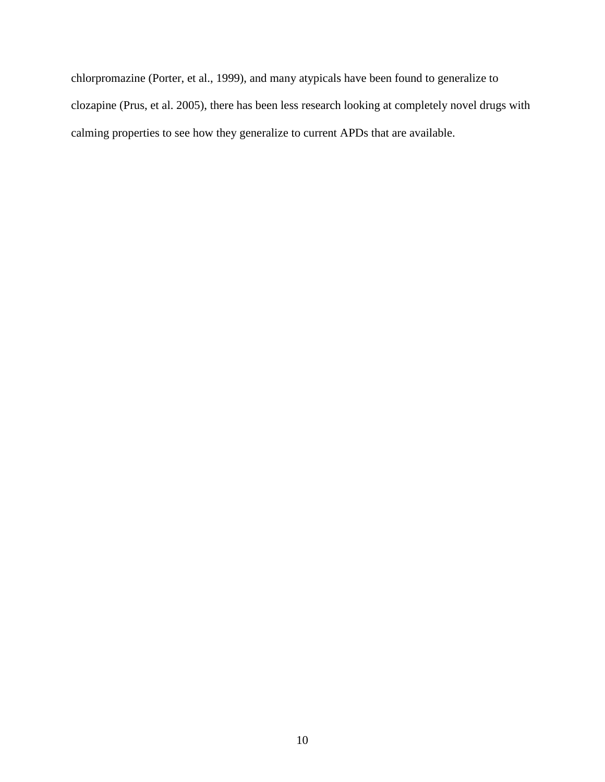chlorpromazine (Porter, et al., 1999), and many atypicals have been found to generalize to clozapine (Prus, et al. 2005), there has been less research looking at completely novel drugs with calming properties to see how they generalize to current APDs that are available.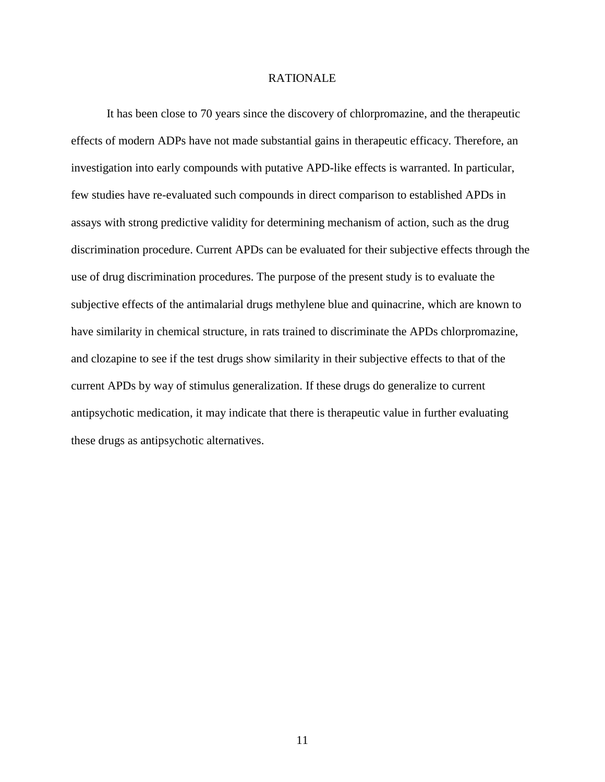#### RATIONALE

It has been close to 70 years since the discovery of chlorpromazine, and the therapeutic effects of modern ADPs have not made substantial gains in therapeutic efficacy. Therefore, an investigation into early compounds with putative APD-like effects is warranted. In particular, few studies have re-evaluated such compounds in direct comparison to established APDs in assays with strong predictive validity for determining mechanism of action, such as the drug discrimination procedure. Current APDs can be evaluated for their subjective effects through the use of drug discrimination procedures. The purpose of the present study is to evaluate the subjective effects of the antimalarial drugs methylene blue and quinacrine, which are known to have similarity in chemical structure, in rats trained to discriminate the APDs chlorpromazine, and clozapine to see if the test drugs show similarity in their subjective effects to that of the current APDs by way of stimulus generalization. If these drugs do generalize to current antipsychotic medication, it may indicate that there is therapeutic value in further evaluating these drugs as antipsychotic alternatives.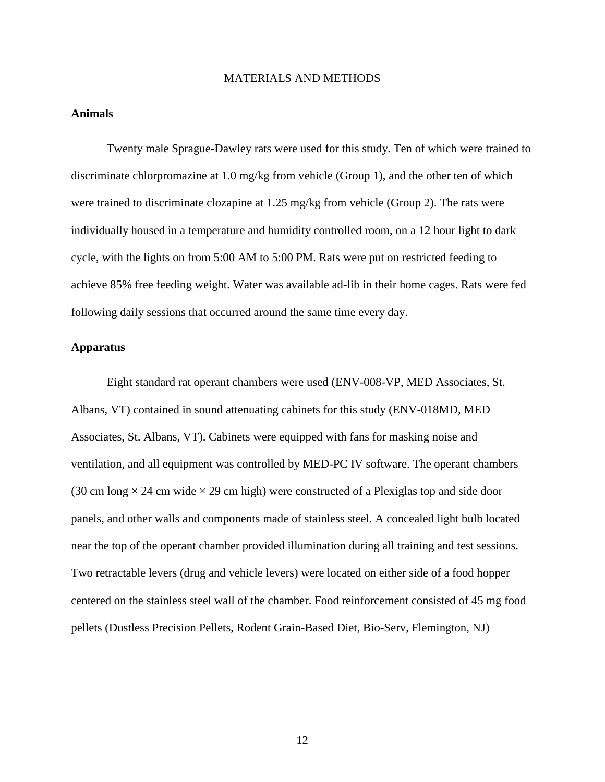#### MATERIALS AND METHODS

#### **Animals**

Twenty male Sprague-Dawley rats were used for this study. Ten of which were trained to discriminate chlorpromazine at 1.0 mg/kg from vehicle (Group 1), and the other ten of which were trained to discriminate clozapine at 1.25 mg/kg from vehicle (Group 2). The rats were individually housed in a temperature and humidity controlled room, on a 12 hour light to dark cycle, with the lights on from 5:00 AM to 5:00 PM. Rats were put on restricted feeding to achieve 85% free feeding weight. Water was available ad-lib in their home cages. Rats were fed following daily sessions that occurred around the same time every day.

#### **Apparatus**

Eight standard rat operant chambers were used (ENV-008-VP, MED Associates, St. Albans, VT) contained in sound attenuating cabinets for this study (ENV-018MD, MED Associates, St. Albans, VT). Cabinets were equipped with fans for masking noise and ventilation, and all equipment was controlled by MED-PC IV software. The operant chambers (30 cm long  $\times$  24 cm wide  $\times$  29 cm high) were constructed of a Plexiglas top and side door panels, and other walls and components made of stainless steel. A concealed light bulb located near the top of the operant chamber provided illumination during all training and test sessions. Two retractable levers (drug and vehicle levers) were located on either side of a food hopper centered on the stainless steel wall of the chamber. Food reinforcement consisted of 45 mg food pellets (Dustless Precision Pellets, Rodent Grain-Based Diet, Bio-Serv, Flemington, NJ)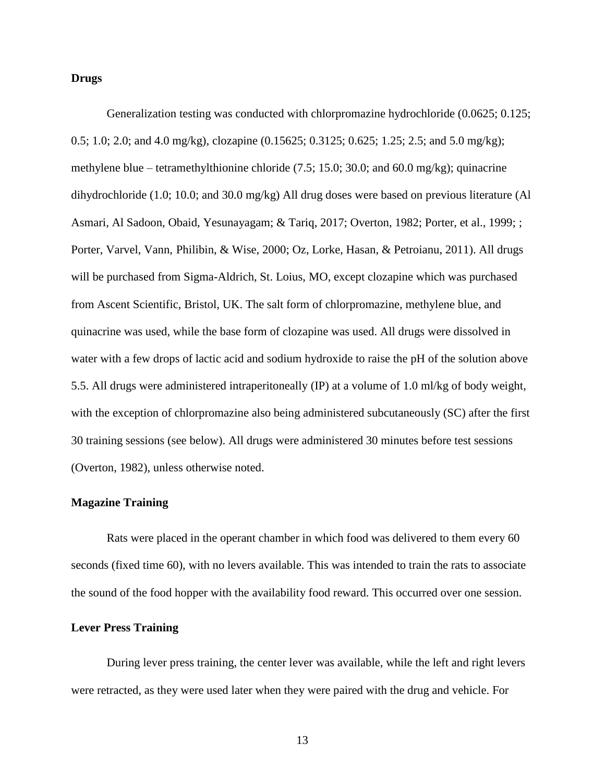#### **Drugs**

Generalization testing was conducted with chlorpromazine hydrochloride (0.0625; 0.125; 0.5; 1.0; 2.0; and 4.0 mg/kg), clozapine (0.15625; 0.3125; 0.625; 1.25; 2.5; and 5.0 mg/kg); methylene blue – tetramethylthionine chloride (7.5; 15.0; 30.0; and 60.0 mg/kg); quinacrine dihydrochloride (1.0; 10.0; and 30.0 mg/kg) All drug doses were based on previous literature (Al Asmari, Al Sadoon, Obaid, Yesunayagam; & Tariq, 2017; Overton, 1982; Porter, et al., 1999; ; Porter, Varvel, Vann, Philibin, & Wise, 2000; Oz, Lorke, Hasan, & Petroianu, 2011). All drugs will be purchased from Sigma-Aldrich, St. Loius, MO, except clozapine which was purchased from Ascent Scientific, Bristol, UK. The salt form of chlorpromazine, methylene blue, and quinacrine was used, while the base form of clozapine was used. All drugs were dissolved in water with a few drops of lactic acid and sodium hydroxide to raise the pH of the solution above 5.5. All drugs were administered intraperitoneally (IP) at a volume of 1.0 ml/kg of body weight, with the exception of chlorpromazine also being administered subcutaneously (SC) after the first 30 training sessions (see below). All drugs were administered 30 minutes before test sessions (Overton, 1982), unless otherwise noted.

#### **Magazine Training**

Rats were placed in the operant chamber in which food was delivered to them every 60 seconds (fixed time 60), with no levers available. This was intended to train the rats to associate the sound of the food hopper with the availability food reward. This occurred over one session.

#### **Lever Press Training**

During lever press training, the center lever was available, while the left and right levers were retracted, as they were used later when they were paired with the drug and vehicle. For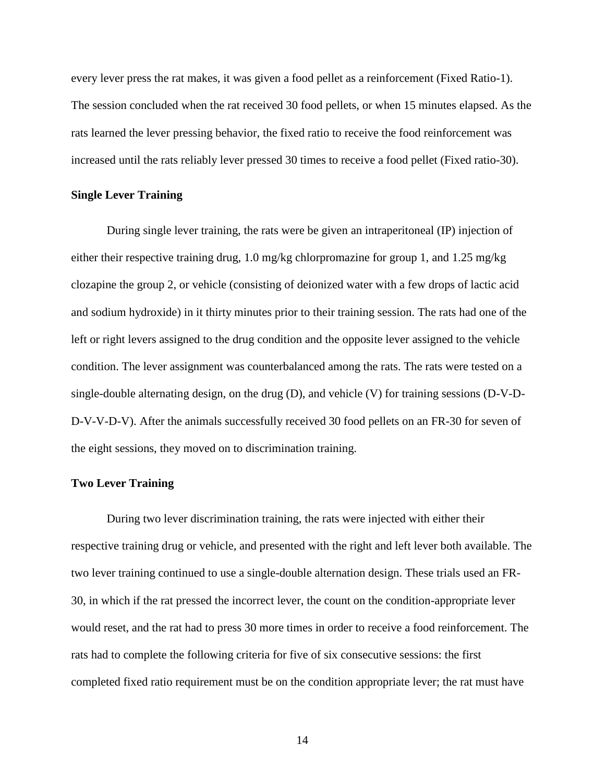every lever press the rat makes, it was given a food pellet as a reinforcement (Fixed Ratio-1). The session concluded when the rat received 30 food pellets, or when 15 minutes elapsed. As the rats learned the lever pressing behavior, the fixed ratio to receive the food reinforcement was increased until the rats reliably lever pressed 30 times to receive a food pellet (Fixed ratio-30).

#### **Single Lever Training**

During single lever training, the rats were be given an intraperitoneal (IP) injection of either their respective training drug, 1.0 mg/kg chlorpromazine for group 1, and 1.25 mg/kg clozapine the group 2, or vehicle (consisting of deionized water with a few drops of lactic acid and sodium hydroxide) in it thirty minutes prior to their training session. The rats had one of the left or right levers assigned to the drug condition and the opposite lever assigned to the vehicle condition. The lever assignment was counterbalanced among the rats. The rats were tested on a single-double alternating design, on the drug (D), and vehicle (V) for training sessions (D-V-D-D-V-V-D-V). After the animals successfully received 30 food pellets on an FR-30 for seven of the eight sessions, they moved on to discrimination training.

#### **Two Lever Training**

During two lever discrimination training, the rats were injected with either their respective training drug or vehicle, and presented with the right and left lever both available. The two lever training continued to use a single-double alternation design. These trials used an FR-30, in which if the rat pressed the incorrect lever, the count on the condition-appropriate lever would reset, and the rat had to press 30 more times in order to receive a food reinforcement. The rats had to complete the following criteria for five of six consecutive sessions: the first completed fixed ratio requirement must be on the condition appropriate lever; the rat must have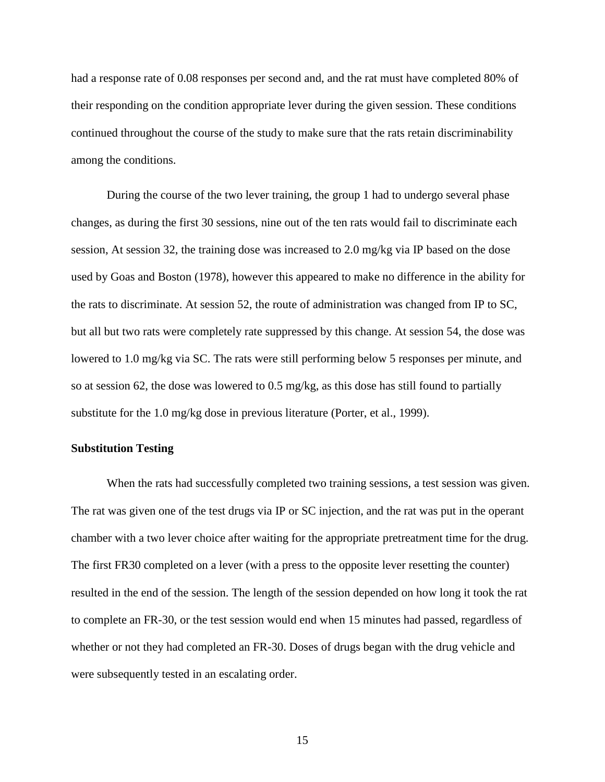had a response rate of 0.08 responses per second and, and the rat must have completed 80% of their responding on the condition appropriate lever during the given session. These conditions continued throughout the course of the study to make sure that the rats retain discriminability among the conditions.

During the course of the two lever training, the group 1 had to undergo several phase changes, as during the first 30 sessions, nine out of the ten rats would fail to discriminate each session, At session 32, the training dose was increased to 2.0 mg/kg via IP based on the dose used by Goas and Boston (1978), however this appeared to make no difference in the ability for the rats to discriminate. At session 52, the route of administration was changed from IP to SC, but all but two rats were completely rate suppressed by this change. At session 54, the dose was lowered to 1.0 mg/kg via SC. The rats were still performing below 5 responses per minute, and so at session 62, the dose was lowered to 0.5 mg/kg, as this dose has still found to partially substitute for the 1.0 mg/kg dose in previous literature (Porter, et al., 1999).

#### **Substitution Testing**

When the rats had successfully completed two training sessions, a test session was given. The rat was given one of the test drugs via IP or SC injection, and the rat was put in the operant chamber with a two lever choice after waiting for the appropriate pretreatment time for the drug. The first FR30 completed on a lever (with a press to the opposite lever resetting the counter) resulted in the end of the session. The length of the session depended on how long it took the rat to complete an FR-30, or the test session would end when 15 minutes had passed, regardless of whether or not they had completed an FR-30. Doses of drugs began with the drug vehicle and were subsequently tested in an escalating order.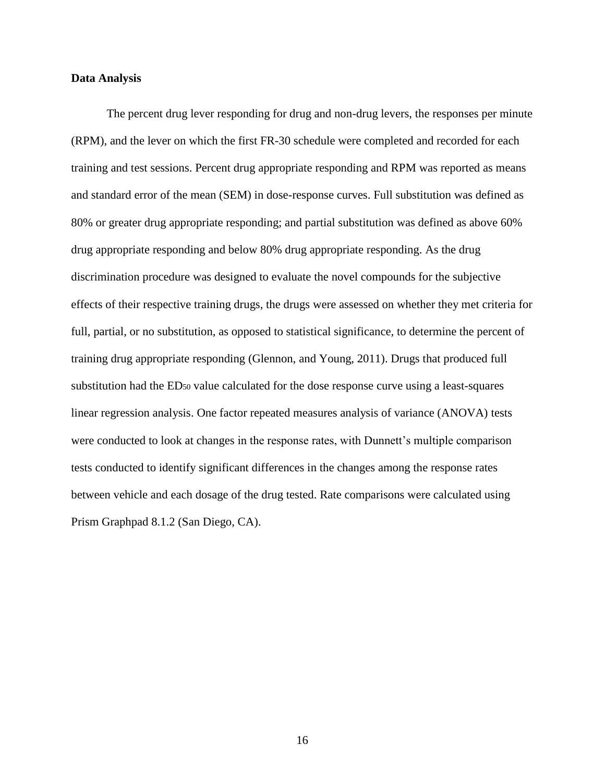#### **Data Analysis**

The percent drug lever responding for drug and non-drug levers, the responses per minute (RPM), and the lever on which the first FR-30 schedule were completed and recorded for each training and test sessions. Percent drug appropriate responding and RPM was reported as means and standard error of the mean (SEM) in dose-response curves. Full substitution was defined as 80% or greater drug appropriate responding; and partial substitution was defined as above 60% drug appropriate responding and below 80% drug appropriate responding. As the drug discrimination procedure was designed to evaluate the novel compounds for the subjective effects of their respective training drugs, the drugs were assessed on whether they met criteria for full, partial, or no substitution, as opposed to statistical significance, to determine the percent of training drug appropriate responding (Glennon, and Young, 2011). Drugs that produced full substitution had the ED<sup>50</sup> value calculated for the dose response curve using a least-squares linear regression analysis. One factor repeated measures analysis of variance (ANOVA) tests were conducted to look at changes in the response rates, with Dunnett's multiple comparison tests conducted to identify significant differences in the changes among the response rates between vehicle and each dosage of the drug tested. Rate comparisons were calculated using Prism Graphpad 8.1.2 (San Diego, CA).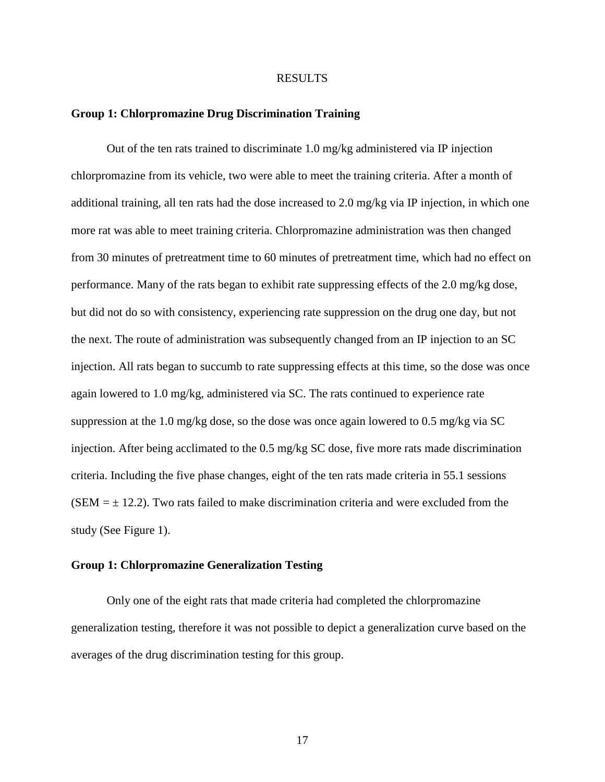#### RESULTS

#### **Group 1: Chlorpromazine Drug Discrimination Training**

Out of the ten rats trained to discriminate 1.0 mg/kg administered via IP injection chlorpromazine from its vehicle, two were able to meet the training criteria. After a month of additional training, all ten rats had the dose increased to 2.0 mg/kg via IP injection, in which one more rat was able to meet training criteria. Chlorpromazine administration was then changed from 30 minutes of pretreatment time to 60 minutes of pretreatment time, which had no effect on performance. Many of the rats began to exhibit rate suppressing effects of the 2.0 mg/kg dose, but did not do so with consistency, experiencing rate suppression on the drug one day, but not the next. The route of administration was subsequently changed from an IP injection to an SC injection. All rats began to succumb to rate suppressing effects at this time, so the dose was once again lowered to 1.0 mg/kg, administered via SC. The rats continued to experience rate suppression at the 1.0 mg/kg dose, so the dose was once again lowered to 0.5 mg/kg via SC injection. After being acclimated to the 0.5 mg/kg SC dose, five more rats made discrimination criteria. Including the five phase changes, eight of the ten rats made criteria in 55.1 sessions (SEM  $=$   $\pm$  12.2). Two rats failed to make discrimination criteria and were excluded from the study (See Figure 1).

#### **Group 1: Chlorpromazine Generalization Testing**

Only one of the eight rats that made criteria had completed the chlorpromazine generalization testing, therefore it was not possible to depict a generalization curve based on the averages of the drug discrimination testing for this group.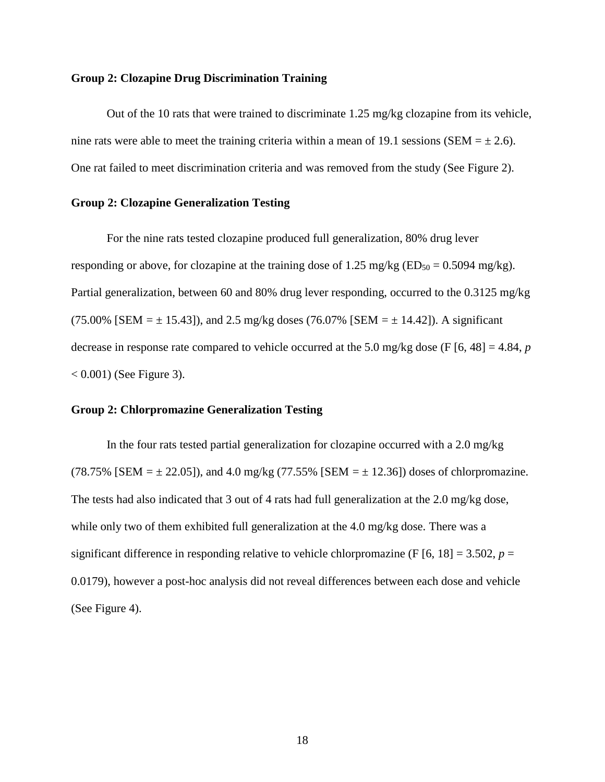#### **Group 2: Clozapine Drug Discrimination Training**

Out of the 10 rats that were trained to discriminate 1.25 mg/kg clozapine from its vehicle, nine rats were able to meet the training criteria within a mean of 19.1 sessions (SEM  $= \pm 2.6$ ). One rat failed to meet discrimination criteria and was removed from the study (See Figure 2).

#### **Group 2: Clozapine Generalization Testing**

For the nine rats tested clozapine produced full generalization, 80% drug lever responding or above, for clozapine at the training dose of 1.25 mg/kg ( $ED_{50} = 0.5094$  mg/kg). Partial generalization, between 60 and 80% drug lever responding, occurred to the 0.3125 mg/kg (75.00% [SEM =  $\pm$  15.43]), and 2.5 mg/kg doses (76.07% [SEM =  $\pm$  14.42]). A significant decrease in response rate compared to vehicle occurred at the 5.0 mg/kg dose (F [6, 48] = 4.84, *p*  $< 0.001$ ) (See Figure 3).

#### **Group 2: Chlorpromazine Generalization Testing**

In the four rats tested partial generalization for clozapine occurred with a 2.0 mg/kg (78.75% [SEM =  $\pm$  22.05]), and 4.0 mg/kg (77.55% [SEM =  $\pm$  12.36]) doses of chlorpromazine. The tests had also indicated that 3 out of 4 rats had full generalization at the 2.0 mg/kg dose, while only two of them exhibited full generalization at the 4.0 mg/kg dose. There was a significant difference in responding relative to vehicle chlorpromazine (F  $[6, 18] = 3.502$ ,  $p =$ 0.0179), however a post-hoc analysis did not reveal differences between each dose and vehicle (See Figure 4).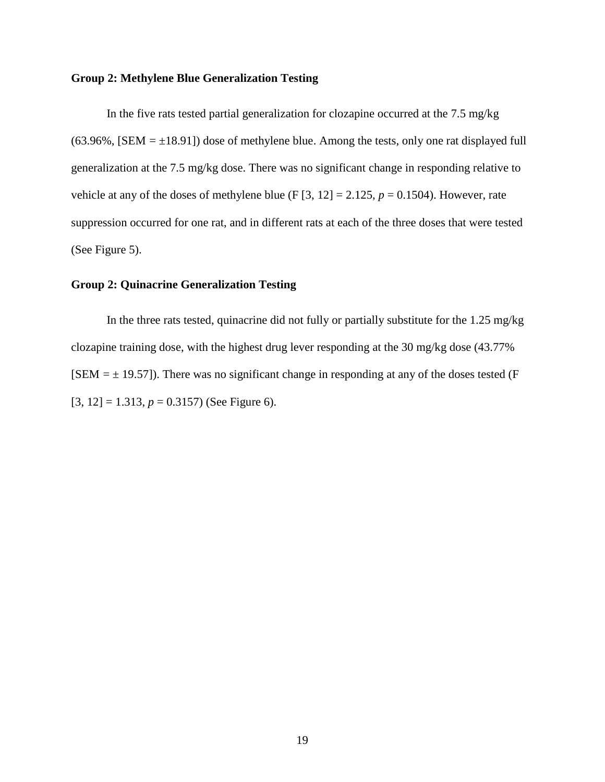#### **Group 2: Methylene Blue Generalization Testing**

In the five rats tested partial generalization for clozapine occurred at the 7.5 mg/kg  $(63.96\%$ , [SEM =  $\pm$ 18.91]) dose of methylene blue. Among the tests, only one rat displayed full generalization at the 7.5 mg/kg dose. There was no significant change in responding relative to vehicle at any of the doses of methylene blue (F  $[3, 12] = 2.125$ ,  $p = 0.1504$ ). However, rate suppression occurred for one rat, and in different rats at each of the three doses that were tested (See Figure 5).

#### **Group 2: Quinacrine Generalization Testing**

In the three rats tested, quinacrine did not fully or partially substitute for the 1.25 mg/kg clozapine training dose, with the highest drug lever responding at the 30 mg/kg dose (43.77%  $[SEM = \pm 19.57]$ ). There was no significant change in responding at any of the doses tested (F)  $[3, 12] = 1.313, p = 0.3157$  (See Figure 6).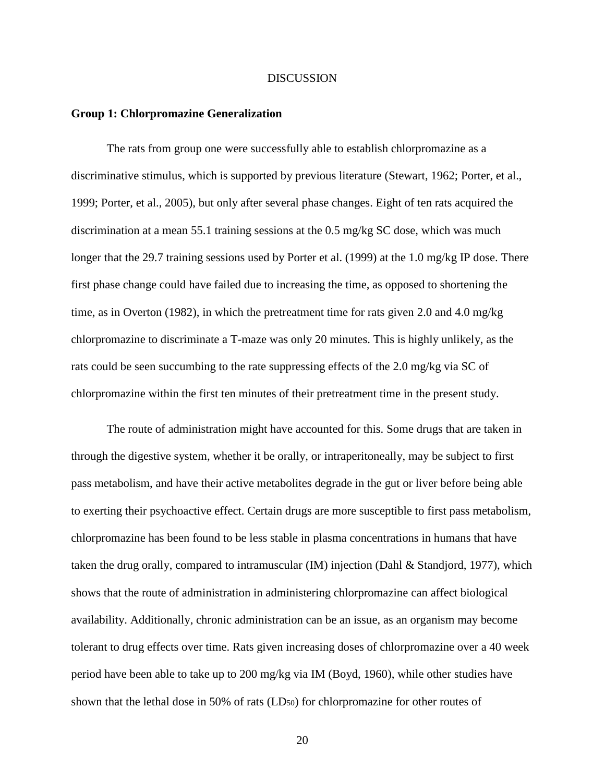#### **DISCUSSION**

#### **Group 1: Chlorpromazine Generalization**

The rats from group one were successfully able to establish chlorpromazine as a discriminative stimulus, which is supported by previous literature (Stewart, 1962; Porter, et al., 1999; Porter, et al., 2005), but only after several phase changes. Eight of ten rats acquired the discrimination at a mean 55.1 training sessions at the 0.5 mg/kg SC dose, which was much longer that the 29.7 training sessions used by Porter et al. (1999) at the 1.0 mg/kg IP dose. There first phase change could have failed due to increasing the time, as opposed to shortening the time, as in Overton (1982), in which the pretreatment time for rats given 2.0 and 4.0 mg/kg chlorpromazine to discriminate a T-maze was only 20 minutes. This is highly unlikely, as the rats could be seen succumbing to the rate suppressing effects of the 2.0 mg/kg via SC of chlorpromazine within the first ten minutes of their pretreatment time in the present study.

The route of administration might have accounted for this. Some drugs that are taken in through the digestive system, whether it be orally, or intraperitoneally, may be subject to first pass metabolism, and have their active metabolites degrade in the gut or liver before being able to exerting their psychoactive effect. Certain drugs are more susceptible to first pass metabolism, chlorpromazine has been found to be less stable in plasma concentrations in humans that have taken the drug orally, compared to intramuscular (IM) injection (Dahl & Standjord, 1977), which shows that the route of administration in administering chlorpromazine can affect biological availability. Additionally, chronic administration can be an issue, as an organism may become tolerant to drug effects over time. Rats given increasing doses of chlorpromazine over a 40 week period have been able to take up to 200 mg/kg via IM (Boyd, 1960), while other studies have shown that the lethal dose in 50% of rats (LD50) for chlorpromazine for other routes of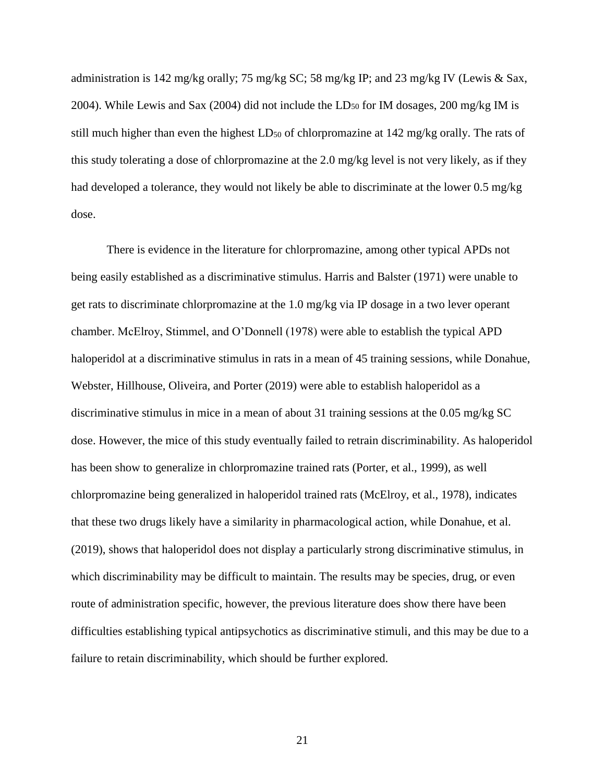administration is 142 mg/kg orally; 75 mg/kg SC; 58 mg/kg IP; and 23 mg/kg IV (Lewis & Sax, 2004). While Lewis and Sax (2004) did not include the LD<sup>50</sup> for IM dosages, 200 mg/kg IM is still much higher than even the highest  $LD_{50}$  of chlorpromazine at 142 mg/kg orally. The rats of this study tolerating a dose of chlorpromazine at the 2.0 mg/kg level is not very likely, as if they had developed a tolerance, they would not likely be able to discriminate at the lower 0.5 mg/kg dose.

There is evidence in the literature for chlorpromazine, among other typical APDs not being easily established as a discriminative stimulus. Harris and Balster (1971) were unable to get rats to discriminate chlorpromazine at the 1.0 mg/kg via IP dosage in a two lever operant chamber. McElroy, Stimmel, and O'Donnell (1978) were able to establish the typical APD haloperidol at a discriminative stimulus in rats in a mean of 45 training sessions, while Donahue, Webster, Hillhouse, Oliveira, and Porter (2019) were able to establish haloperidol as a discriminative stimulus in mice in a mean of about 31 training sessions at the 0.05 mg/kg SC dose. However, the mice of this study eventually failed to retrain discriminability. As haloperidol has been show to generalize in chlorpromazine trained rats (Porter, et al., 1999), as well chlorpromazine being generalized in haloperidol trained rats (McElroy, et al., 1978), indicates that these two drugs likely have a similarity in pharmacological action, while Donahue, et al. (2019), shows that haloperidol does not display a particularly strong discriminative stimulus, in which discriminability may be difficult to maintain. The results may be species, drug, or even route of administration specific, however, the previous literature does show there have been difficulties establishing typical antipsychotics as discriminative stimuli, and this may be due to a failure to retain discriminability, which should be further explored.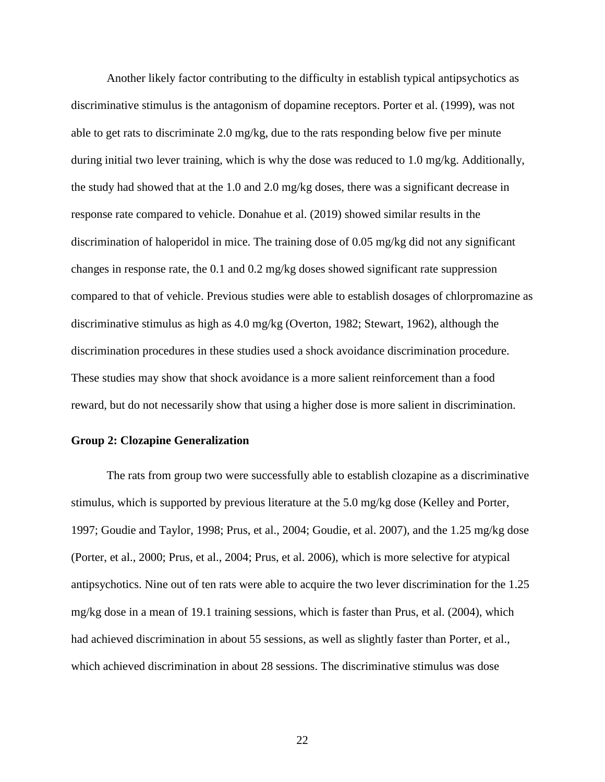Another likely factor contributing to the difficulty in establish typical antipsychotics as discriminative stimulus is the antagonism of dopamine receptors. Porter et al. (1999), was not able to get rats to discriminate 2.0 mg/kg, due to the rats responding below five per minute during initial two lever training, which is why the dose was reduced to 1.0 mg/kg. Additionally, the study had showed that at the 1.0 and 2.0 mg/kg doses, there was a significant decrease in response rate compared to vehicle. Donahue et al. (2019) showed similar results in the discrimination of haloperidol in mice. The training dose of 0.05 mg/kg did not any significant changes in response rate, the 0.1 and 0.2 mg/kg doses showed significant rate suppression compared to that of vehicle. Previous studies were able to establish dosages of chlorpromazine as discriminative stimulus as high as 4.0 mg/kg (Overton, 1982; Stewart, 1962), although the discrimination procedures in these studies used a shock avoidance discrimination procedure. These studies may show that shock avoidance is a more salient reinforcement than a food reward, but do not necessarily show that using a higher dose is more salient in discrimination.

#### **Group 2: Clozapine Generalization**

The rats from group two were successfully able to establish clozapine as a discriminative stimulus, which is supported by previous literature at the 5.0 mg/kg dose (Kelley and Porter, 1997; Goudie and Taylor, 1998; Prus, et al., 2004; Goudie, et al. 2007), and the 1.25 mg/kg dose (Porter, et al., 2000; Prus, et al., 2004; Prus, et al. 2006), which is more selective for atypical antipsychotics. Nine out of ten rats were able to acquire the two lever discrimination for the 1.25 mg/kg dose in a mean of 19.1 training sessions, which is faster than Prus, et al. (2004), which had achieved discrimination in about 55 sessions, as well as slightly faster than Porter, et al., which achieved discrimination in about 28 sessions. The discriminative stimulus was dose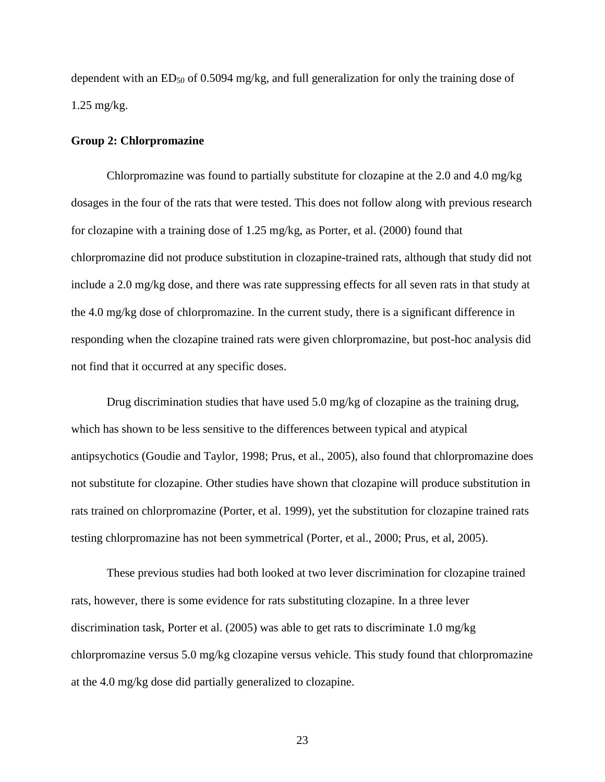dependent with an ED<sub>50</sub> of 0.5094 mg/kg, and full generalization for only the training dose of 1.25 mg/kg.

#### **Group 2: Chlorpromazine**

Chlorpromazine was found to partially substitute for clozapine at the 2.0 and 4.0 mg/kg dosages in the four of the rats that were tested. This does not follow along with previous research for clozapine with a training dose of 1.25 mg/kg, as Porter, et al. (2000) found that chlorpromazine did not produce substitution in clozapine-trained rats, although that study did not include a 2.0 mg/kg dose, and there was rate suppressing effects for all seven rats in that study at the 4.0 mg/kg dose of chlorpromazine. In the current study, there is a significant difference in responding when the clozapine trained rats were given chlorpromazine, but post-hoc analysis did not find that it occurred at any specific doses.

Drug discrimination studies that have used 5.0 mg/kg of clozapine as the training drug, which has shown to be less sensitive to the differences between typical and atypical antipsychotics (Goudie and Taylor, 1998; Prus, et al., 2005), also found that chlorpromazine does not substitute for clozapine. Other studies have shown that clozapine will produce substitution in rats trained on chlorpromazine (Porter, et al. 1999), yet the substitution for clozapine trained rats testing chlorpromazine has not been symmetrical (Porter, et al., 2000; Prus, et al, 2005).

These previous studies had both looked at two lever discrimination for clozapine trained rats, however, there is some evidence for rats substituting clozapine. In a three lever discrimination task, Porter et al. (2005) was able to get rats to discriminate 1.0 mg/kg chlorpromazine versus 5.0 mg/kg clozapine versus vehicle. This study found that chlorpromazine at the 4.0 mg/kg dose did partially generalized to clozapine.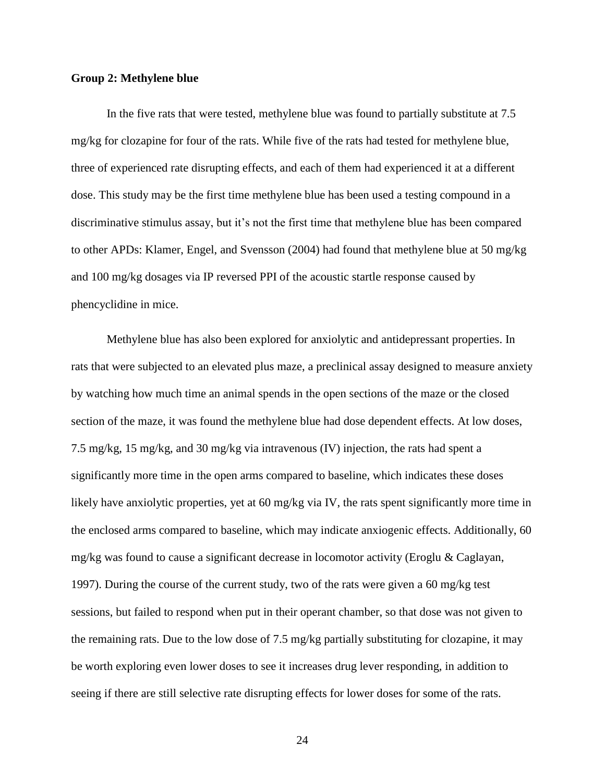### **Group 2: Methylene blue**

In the five rats that were tested, methylene blue was found to partially substitute at 7.5 mg/kg for clozapine for four of the rats. While five of the rats had tested for methylene blue, three of experienced rate disrupting effects, and each of them had experienced it at a different dose. This study may be the first time methylene blue has been used a testing compound in a discriminative stimulus assay, but it's not the first time that methylene blue has been compared to other APDs: Klamer, Engel, and Svensson (2004) had found that methylene blue at 50 mg/kg and 100 mg/kg dosages via IP reversed PPI of the acoustic startle response caused by phencyclidine in mice.

Methylene blue has also been explored for anxiolytic and antidepressant properties. In rats that were subjected to an elevated plus maze, a preclinical assay designed to measure anxiety by watching how much time an animal spends in the open sections of the maze or the closed section of the maze, it was found the methylene blue had dose dependent effects. At low doses, 7.5 mg/kg, 15 mg/kg, and 30 mg/kg via intravenous (IV) injection, the rats had spent a significantly more time in the open arms compared to baseline, which indicates these doses likely have anxiolytic properties, yet at 60 mg/kg via IV, the rats spent significantly more time in the enclosed arms compared to baseline, which may indicate anxiogenic effects. Additionally, 60 mg/kg was found to cause a significant decrease in locomotor activity (Eroglu & Caglayan, 1997). During the course of the current study, two of the rats were given a 60 mg/kg test sessions, but failed to respond when put in their operant chamber, so that dose was not given to the remaining rats. Due to the low dose of 7.5 mg/kg partially substituting for clozapine, it may be worth exploring even lower doses to see it increases drug lever responding, in addition to seeing if there are still selective rate disrupting effects for lower doses for some of the rats.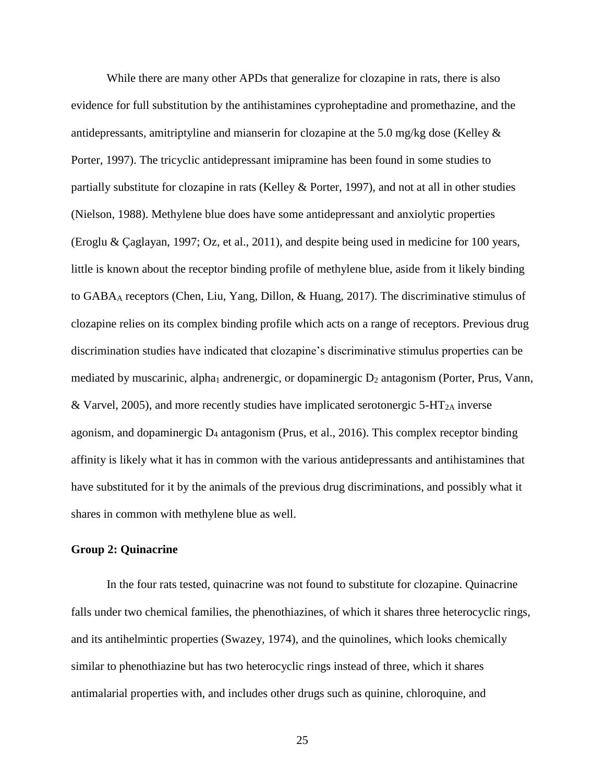While there are many other APDs that generalize for clozapine in rats, there is also evidence for full substitution by the antihistamines cyproheptadine and promethazine, and the antidepressants, amitriptyline and mianserin for clozapine at the 5.0 mg/kg dose (Kelley & Porter, 1997). The tricyclic antidepressant imipramine has been found in some studies to partially substitute for clozapine in rats (Kelley & Porter, 1997), and not at all in other studies (Nielson, 1988). Methylene blue does have some antidepressant and anxiolytic properties (Eroglu & Çaglayan, 1997; Oz, et al., 2011), and despite being used in medicine for 100 years, little is known about the receptor binding profile of methylene blue, aside from it likely binding to GABA<sup>A</sup> receptors (Chen, Liu, Yang, Dillon, & Huang, 2017). The discriminative stimulus of clozapine relies on its complex binding profile which acts on a range of receptors. Previous drug discrimination studies have indicated that clozapine's discriminative stimulus properties can be mediated by muscarinic, alpha<sub>1</sub> andrenergic, or dopaminergic  $D_2$  antagonism (Porter, Prus, Vann, & Varvel, 2005), and more recently studies have implicated serotonergic  $5-HT_{2A}$  inverse agonism, and dopaminergic  $D_4$  antagonism (Prus, et al., 2016). This complex receptor binding affinity is likely what it has in common with the various antidepressants and antihistamines that have substituted for it by the animals of the previous drug discriminations, and possibly what it shares in common with methylene blue as well.

#### **Group 2: Quinacrine**

In the four rats tested, quinacrine was not found to substitute for clozapine. Quinacrine falls under two chemical families, the phenothiazines, of which it shares three heterocyclic rings, and its antihelmintic properties (Swazey, 1974), and the quinolines, which looks chemically similar to phenothiazine but has two heterocyclic rings instead of three, which it shares antimalarial properties with, and includes other drugs such as quinine, chloroquine, and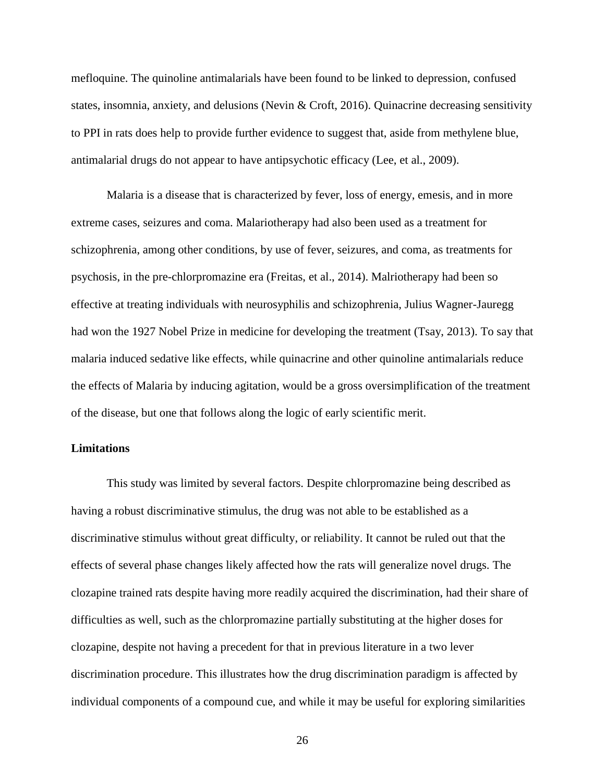mefloquine. The quinoline antimalarials have been found to be linked to depression, confused states, insomnia, anxiety, and delusions (Nevin & Croft, 2016). Quinacrine decreasing sensitivity to PPI in rats does help to provide further evidence to suggest that, aside from methylene blue, antimalarial drugs do not appear to have antipsychotic efficacy (Lee, et al., 2009).

Malaria is a disease that is characterized by fever, loss of energy, emesis, and in more extreme cases, seizures and coma. Malariotherapy had also been used as a treatment for schizophrenia, among other conditions, by use of fever, seizures, and coma, as treatments for psychosis, in the pre-chlorpromazine era (Freitas, et al., 2014). Malriotherapy had been so effective at treating individuals with neurosyphilis and schizophrenia, Julius Wagner-Jauregg had won the 1927 Nobel Prize in medicine for developing the treatment (Tsay, 2013). To say that malaria induced sedative like effects, while quinacrine and other quinoline antimalarials reduce the effects of Malaria by inducing agitation, would be a gross oversimplification of the treatment of the disease, but one that follows along the logic of early scientific merit.

#### **Limitations**

This study was limited by several factors. Despite chlorpromazine being described as having a robust discriminative stimulus, the drug was not able to be established as a discriminative stimulus without great difficulty, or reliability. It cannot be ruled out that the effects of several phase changes likely affected how the rats will generalize novel drugs. The clozapine trained rats despite having more readily acquired the discrimination, had their share of difficulties as well, such as the chlorpromazine partially substituting at the higher doses for clozapine, despite not having a precedent for that in previous literature in a two lever discrimination procedure. This illustrates how the drug discrimination paradigm is affected by individual components of a compound cue, and while it may be useful for exploring similarities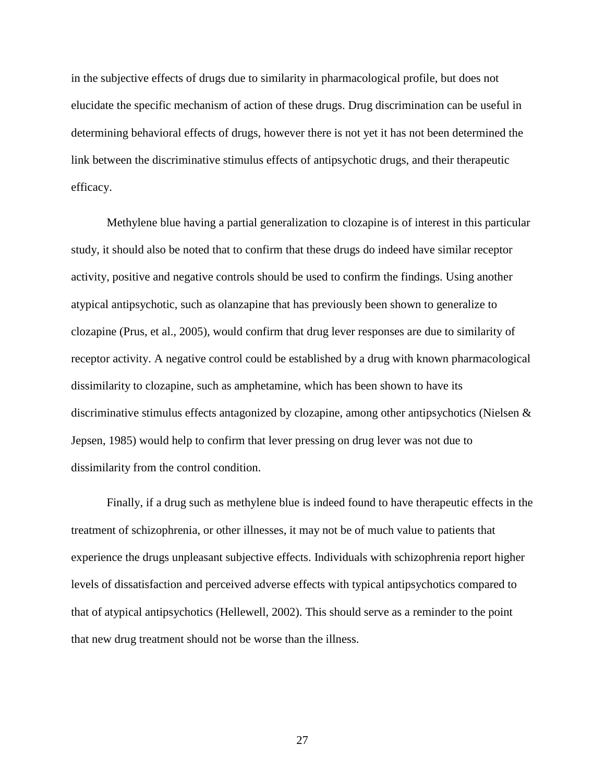in the subjective effects of drugs due to similarity in pharmacological profile, but does not elucidate the specific mechanism of action of these drugs. Drug discrimination can be useful in determining behavioral effects of drugs, however there is not yet it has not been determined the link between the discriminative stimulus effects of antipsychotic drugs, and their therapeutic efficacy.

Methylene blue having a partial generalization to clozapine is of interest in this particular study, it should also be noted that to confirm that these drugs do indeed have similar receptor activity, positive and negative controls should be used to confirm the findings. Using another atypical antipsychotic, such as olanzapine that has previously been shown to generalize to clozapine (Prus, et al., 2005), would confirm that drug lever responses are due to similarity of receptor activity. A negative control could be established by a drug with known pharmacological dissimilarity to clozapine, such as amphetamine, which has been shown to have its discriminative stimulus effects antagonized by clozapine, among other antipsychotics (Nielsen & Jepsen, 1985) would help to confirm that lever pressing on drug lever was not due to dissimilarity from the control condition.

Finally, if a drug such as methylene blue is indeed found to have therapeutic effects in the treatment of schizophrenia, or other illnesses, it may not be of much value to patients that experience the drugs unpleasant subjective effects. Individuals with schizophrenia report higher levels of dissatisfaction and perceived adverse effects with typical antipsychotics compared to that of atypical antipsychotics (Hellewell, 2002). This should serve as a reminder to the point that new drug treatment should not be worse than the illness.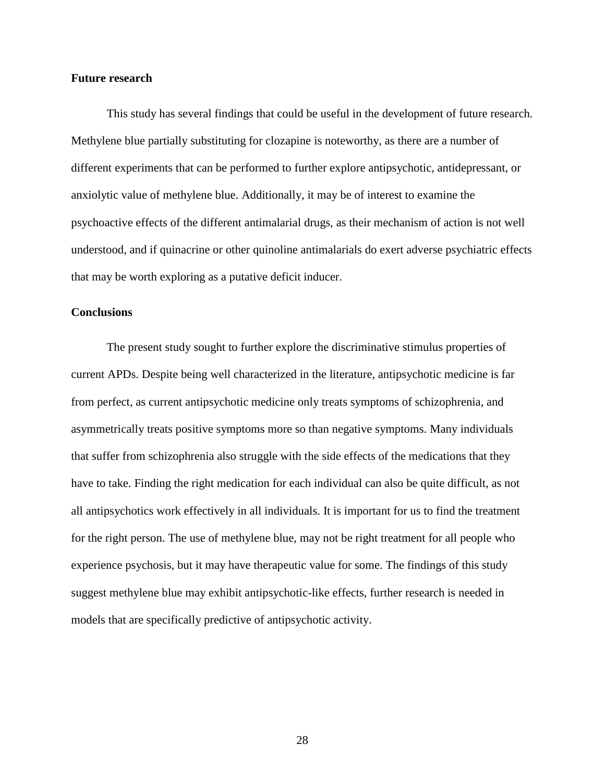#### **Future research**

This study has several findings that could be useful in the development of future research. Methylene blue partially substituting for clozapine is noteworthy, as there are a number of different experiments that can be performed to further explore antipsychotic, antidepressant, or anxiolytic value of methylene blue. Additionally, it may be of interest to examine the psychoactive effects of the different antimalarial drugs, as their mechanism of action is not well understood, and if quinacrine or other quinoline antimalarials do exert adverse psychiatric effects that may be worth exploring as a putative deficit inducer.

#### **Conclusions**

The present study sought to further explore the discriminative stimulus properties of current APDs. Despite being well characterized in the literature, antipsychotic medicine is far from perfect, as current antipsychotic medicine only treats symptoms of schizophrenia, and asymmetrically treats positive symptoms more so than negative symptoms. Many individuals that suffer from schizophrenia also struggle with the side effects of the medications that they have to take. Finding the right medication for each individual can also be quite difficult, as not all antipsychotics work effectively in all individuals. It is important for us to find the treatment for the right person. The use of methylene blue, may not be right treatment for all people who experience psychosis, but it may have therapeutic value for some. The findings of this study suggest methylene blue may exhibit antipsychotic-like effects, further research is needed in models that are specifically predictive of antipsychotic activity.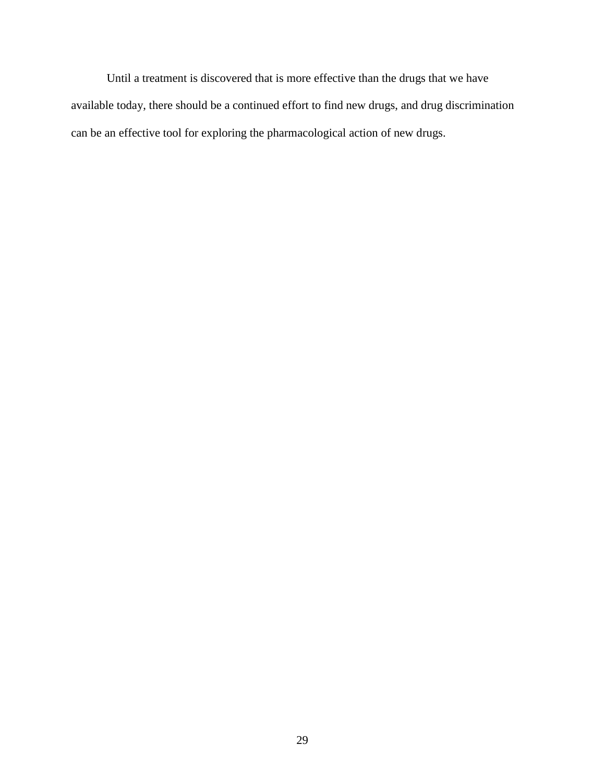Until a treatment is discovered that is more effective than the drugs that we have available today, there should be a continued effort to find new drugs, and drug discrimination can be an effective tool for exploring the pharmacological action of new drugs.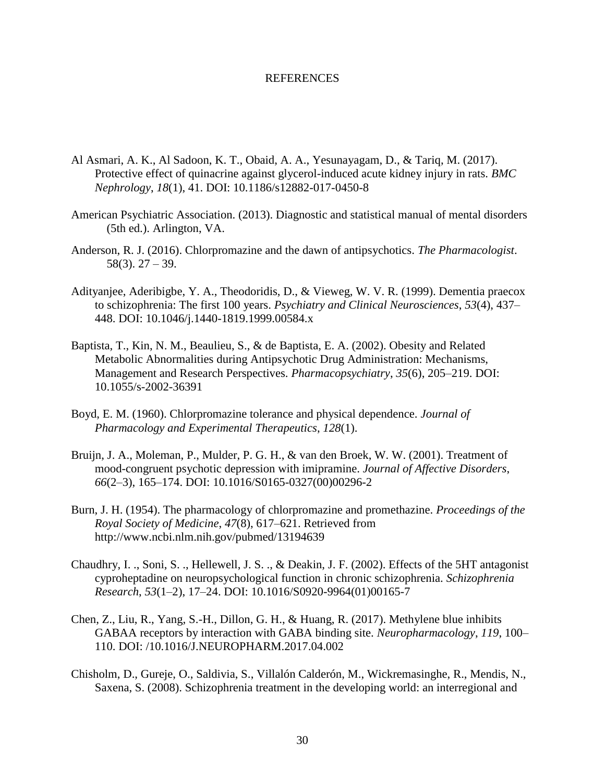#### REFERENCES

- Al Asmari, A. K., Al Sadoon, K. T., Obaid, A. A., Yesunayagam, D., & Tariq, M. (2017). Protective effect of quinacrine against glycerol-induced acute kidney injury in rats. *BMC Nephrology*, *18*(1), 41. DOI: 10.1186/s12882-017-0450-8
- American Psychiatric Association. (2013). Diagnostic and statistical manual of mental disorders (5th ed.). Arlington, VA.
- Anderson, R. J. (2016). Chlorpromazine and the dawn of antipsychotics. *The Pharmacologist*. 58(3). 27 – 39.
- Adityanjee, Aderibigbe, Y. A., Theodoridis, D., & Vieweg, W. V. R. (1999). Dementia praecox to schizophrenia: The first 100 years. *Psychiatry and Clinical Neurosciences*, *53*(4), 437– 448. DOI: 10.1046/j.1440-1819.1999.00584.x
- Baptista, T., Kin, N. M., Beaulieu, S., & de Baptista, E. A. (2002). Obesity and Related Metabolic Abnormalities during Antipsychotic Drug Administration: Mechanisms, Management and Research Perspectives. *Pharmacopsychiatry*, *35*(6), 205–219. DOI: 10.1055/s-2002-36391
- Boyd, E. M. (1960). Chlorpromazine tolerance and physical dependence. *Journal of Pharmacology and Experimental Therapeutics*, *128*(1).
- Bruijn, J. A., Moleman, P., Mulder, P. G. H., & van den Broek, W. W. (2001). Treatment of mood-congruent psychotic depression with imipramine. *Journal of Affective Disorders*, *66*(2–3), 165–174. DOI: 10.1016/S0165-0327(00)00296-2
- Burn, J. H. (1954). The pharmacology of chlorpromazine and promethazine. *Proceedings of the Royal Society of Medicine*, *47*(8), 617–621. Retrieved from http://www.ncbi.nlm.nih.gov/pubmed/13194639
- Chaudhry, I. ., Soni, S. ., Hellewell, J. S. ., & Deakin, J. F. (2002). Effects of the 5HT antagonist cyproheptadine on neuropsychological function in chronic schizophrenia. *Schizophrenia Research*, *53*(1–2), 17–24. DOI: 10.1016/S0920-9964(01)00165-7
- Chen, Z., Liu, R., Yang, S.-H., Dillon, G. H., & Huang, R. (2017). Methylene blue inhibits GABAA receptors by interaction with GABA binding site. *Neuropharmacology*, *119*, 100– 110. DOI: /10.1016/J.NEUROPHARM.2017.04.002
- Chisholm, D., Gureje, O., Saldivia, S., Villalón Calderón, M., Wickremasinghe, R., Mendis, N., Saxena, S. (2008). Schizophrenia treatment in the developing world: an interregional and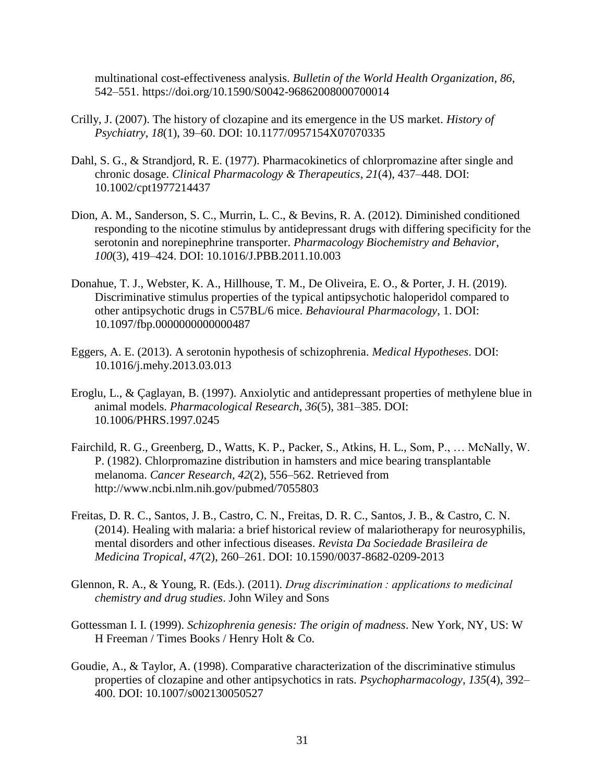multinational cost-effectiveness analysis. *Bulletin of the World Health Organization*, *86*, 542–551. https://doi.org/10.1590/S0042-96862008000700014

- Crilly, J. (2007). The history of clozapine and its emergence in the US market. *History of Psychiatry*, *18*(1), 39–60. DOI: 10.1177/0957154X07070335
- Dahl, S. G., & Strandjord, R. E. (1977). Pharmacokinetics of chlorpromazine after single and chronic dosage. *Clinical Pharmacology & Therapeutics*, *21*(4), 437–448. DOI: 10.1002/cpt1977214437
- Dion, A. M., Sanderson, S. C., Murrin, L. C., & Bevins, R. A. (2012). Diminished conditioned responding to the nicotine stimulus by antidepressant drugs with differing specificity for the serotonin and norepinephrine transporter. *Pharmacology Biochemistry and Behavior*, *100*(3), 419–424. DOI: 10.1016/J.PBB.2011.10.003
- Donahue, T. J., Webster, K. A., Hillhouse, T. M., De Oliveira, E. O., & Porter, J. H. (2019). Discriminative stimulus properties of the typical antipsychotic haloperidol compared to other antipsychotic drugs in C57BL/6 mice. *Behavioural Pharmacology*, 1. DOI: 10.1097/fbp.0000000000000487
- Eggers, A. E. (2013). A serotonin hypothesis of schizophrenia. *Medical Hypotheses*. DOI: 10.1016/j.mehy.2013.03.013
- Eroglu, L., & Çaglayan, B. (1997). Anxiolytic and antidepressant properties of methylene blue in animal models. *Pharmacological Research*, *36*(5), 381–385. DOI: 10.1006/PHRS.1997.0245
- Fairchild, R. G., Greenberg, D., Watts, K. P., Packer, S., Atkins, H. L., Som, P., … McNally, W. P. (1982). Chlorpromazine distribution in hamsters and mice bearing transplantable melanoma. *Cancer Research*, *42*(2), 556–562. Retrieved from http://www.ncbi.nlm.nih.gov/pubmed/7055803
- Freitas, D. R. C., Santos, J. B., Castro, C. N., Freitas, D. R. C., Santos, J. B., & Castro, C. N. (2014). Healing with malaria: a brief historical review of malariotherapy for neurosyphilis, mental disorders and other infectious diseases. *Revista Da Sociedade Brasileira de Medicina Tropical*, *47*(2), 260–261. DOI: 10.1590/0037-8682-0209-2013
- Glennon, R. A., & Young, R. (Eds.). (2011). *Drug discrimination : applications to medicinal chemistry and drug studies*. John Wiley and Sons
- Gottessman I. I. (1999). *Schizophrenia genesis: The origin of madness*. New York, NY, US: W H Freeman / Times Books / Henry Holt & Co.
- Goudie, A., & Taylor, A. (1998). Comparative characterization of the discriminative stimulus properties of clozapine and other antipsychotics in rats. *Psychopharmacology*, *135*(4), 392– 400. DOI: 10.1007/s002130050527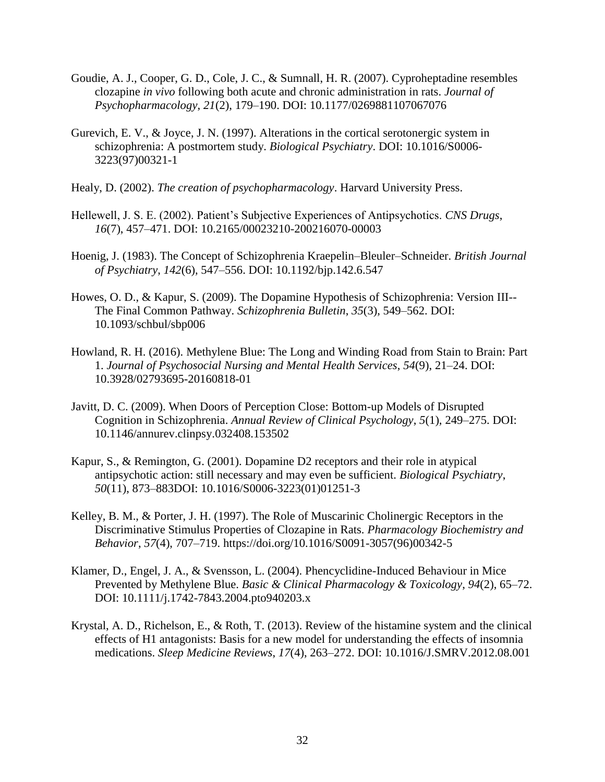- Goudie, A. J., Cooper, G. D., Cole, J. C., & Sumnall, H. R. (2007). Cyproheptadine resembles clozapine *in vivo* following both acute and chronic administration in rats. *Journal of Psychopharmacology*, *21*(2), 179–190. DOI: 10.1177/0269881107067076
- Gurevich, E. V., & Joyce, J. N. (1997). Alterations in the cortical serotonergic system in schizophrenia: A postmortem study. *Biological Psychiatry*. DOI: 10.1016/S0006- 3223(97)00321-1
- Healy, D. (2002). *The creation of psychopharmacology*. Harvard University Press.
- Hellewell, J. S. E. (2002). Patient's Subjective Experiences of Antipsychotics. *CNS Drugs*, *16*(7), 457–471. DOI: 10.2165/00023210-200216070-00003
- Hoenig, J. (1983). The Concept of Schizophrenia Kraepelin–Bleuler–Schneider. *British Journal of Psychiatry*, *142*(6), 547–556. DOI: 10.1192/bjp.142.6.547
- Howes, O. D., & Kapur, S. (2009). The Dopamine Hypothesis of Schizophrenia: Version III-- The Final Common Pathway. *Schizophrenia Bulletin*, *35*(3), 549–562. DOI: 10.1093/schbul/sbp006
- Howland, R. H. (2016). Methylene Blue: The Long and Winding Road from Stain to Brain: Part 1. *Journal of Psychosocial Nursing and Mental Health Services*, *54*(9), 21–24. DOI: 10.3928/02793695-20160818-01
- Javitt, D. C. (2009). When Doors of Perception Close: Bottom-up Models of Disrupted Cognition in Schizophrenia. *Annual Review of Clinical Psychology*, *5*(1), 249–275. DOI: 10.1146/annurev.clinpsy.032408.153502
- Kapur, S., & Remington, G. (2001). Dopamine D2 receptors and their role in atypical antipsychotic action: still necessary and may even be sufficient. *Biological Psychiatry*, *50*(11), 873–883DOI: 10.1016/S0006-3223(01)01251-3
- Kelley, B. M., & Porter, J. H. (1997). The Role of Muscarinic Cholinergic Receptors in the Discriminative Stimulus Properties of Clozapine in Rats. *Pharmacology Biochemistry and Behavior*, *57*(4), 707–719. https://doi.org/10.1016/S0091-3057(96)00342-5
- Klamer, D., Engel, J. A., & Svensson, L. (2004). Phencyclidine-Induced Behaviour in Mice Prevented by Methylene Blue. *Basic & Clinical Pharmacology & Toxicology*, *94*(2), 65–72. DOI: 10.1111/j.1742-7843.2004.pto940203.x
- Krystal, A. D., Richelson, E., & Roth, T. (2013). Review of the histamine system and the clinical effects of H1 antagonists: Basis for a new model for understanding the effects of insomnia medications. *Sleep Medicine Reviews*, *17*(4), 263–272. DOI: 10.1016/J.SMRV.2012.08.001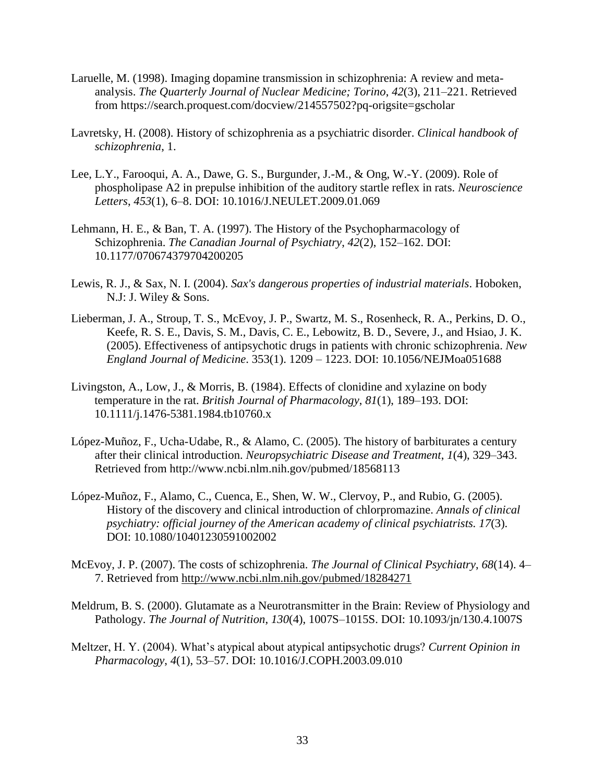- Laruelle, M. (1998). Imaging dopamine transmission in schizophrenia: A review and metaanalysis. *The Quarterly Journal of Nuclear Medicine; Torino*, *42*(3), 211–221. Retrieved from https://search.proquest.com/docview/214557502?pq-origsite=gscholar
- Lavretsky, H. (2008). History of schizophrenia as a psychiatric disorder. *Clinical handbook of schizophrenia*, 1.
- Lee, L.Y., Farooqui, A. A., Dawe, G. S., Burgunder, J.-M., & Ong, W.-Y. (2009). Role of phospholipase A2 in prepulse inhibition of the auditory startle reflex in rats. *Neuroscience Letters*, *453*(1), 6–8. DOI: 10.1016/J.NEULET.2009.01.069
- Lehmann, H. E., & Ban, T. A. (1997). The History of the Psychopharmacology of Schizophrenia. *The Canadian Journal of Psychiatry*, *42*(2), 152–162. DOI: 10.1177/070674379704200205
- Lewis, R. J., & Sax, N. I. (2004). *Sax's dangerous properties of industrial materials*. Hoboken, N.J: J. Wiley & Sons.
- Lieberman, J. A., Stroup, T. S., McEvoy, J. P., Swartz, M. S., Rosenheck, R. A., Perkins, D. O., Keefe, R. S. E., Davis, S. M., Davis, C. E., Lebowitz, B. D., Severe, J., and Hsiao, J. K. (2005). Effectiveness of antipsychotic drugs in patients with chronic schizophrenia. *New England Journal of Medicine*. 353(1). 1209 – 1223. DOI: 10.1056/NEJMoa051688
- Livingston, A., Low, J., & Morris, B. (1984). Effects of clonidine and xylazine on body temperature in the rat. *British Journal of Pharmacology*, *81*(1), 189–193. DOI: 10.1111/j.1476-5381.1984.tb10760.x
- López-Muñoz, F., Ucha-Udabe, R., & Alamo, C. (2005). The history of barbiturates a century after their clinical introduction. *Neuropsychiatric Disease and Treatment*, *1*(4), 329–343. Retrieved from http://www.ncbi.nlm.nih.gov/pubmed/18568113
- López-Muñoz, F., Alamo, C., Cuenca, E., Shen, W. W., Clervoy, P., and Rubio, G. (2005). History of the discovery and clinical introduction of chlorpromazine. *Annals of clinical psychiatry: official journey of the American academy of clinical psychiatrists. 17*(3). DOI: 10.1080/10401230591002002
- McEvoy, J. P. (2007). The costs of schizophrenia. *The Journal of Clinical Psychiatry*, *68*(14). 4– 7. Retrieved from<http://www.ncbi.nlm.nih.gov/pubmed/18284271>
- Meldrum, B. S. (2000). Glutamate as a Neurotransmitter in the Brain: Review of Physiology and Pathology. *The Journal of Nutrition*, *130*(4), 1007S–1015S. DOI: 10.1093/jn/130.4.1007S
- Meltzer, H. Y. (2004). What's atypical about atypical antipsychotic drugs? *Current Opinion in Pharmacology*, *4*(1), 53–57. DOI: 10.1016/J.COPH.2003.09.010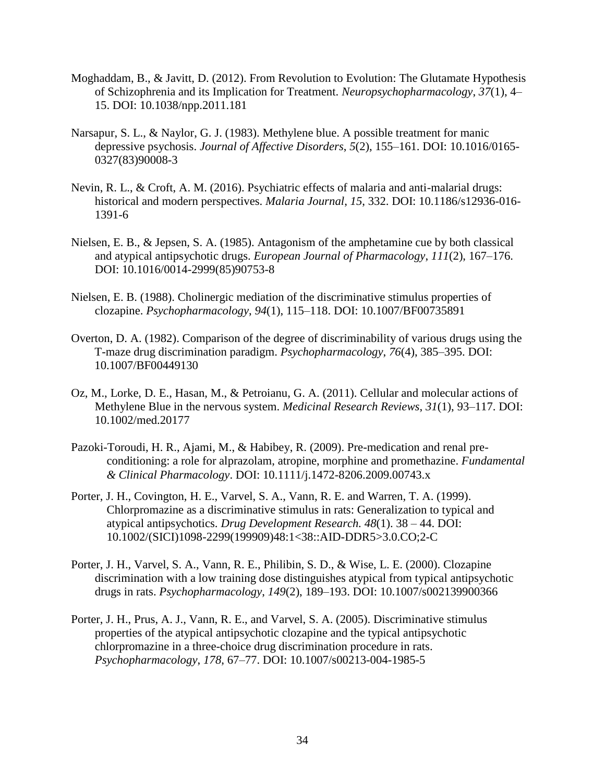- Moghaddam, B., & Javitt, D. (2012). From Revolution to Evolution: The Glutamate Hypothesis of Schizophrenia and its Implication for Treatment. *Neuropsychopharmacology*, *37*(1), 4– 15. DOI: 10.1038/npp.2011.181
- Narsapur, S. L., & Naylor, G. J. (1983). Methylene blue. A possible treatment for manic depressive psychosis. *Journal of Affective Disorders*, *5*(2), 155–161. DOI: [10.1016/0165-](https://doi.org/10.1016/0165-0327(83)90008-3) [0327\(83\)90008-3](https://doi.org/10.1016/0165-0327(83)90008-3)
- Nevin, R. L., & Croft, A. M. (2016). Psychiatric effects of malaria and anti-malarial drugs: historical and modern perspectives. *Malaria Journal*, *15*, 332. DOI: 10.1186/s12936-016- 1391-6
- Nielsen, E. B., & Jepsen, S. A. (1985). Antagonism of the amphetamine cue by both classical and atypical antipsychotic drugs. *European Journal of Pharmacology*, *111*(2), 167–176. DOI: 10.1016/0014-2999(85)90753-8
- Nielsen, E. B. (1988). Cholinergic mediation of the discriminative stimulus properties of clozapine. *Psychopharmacology*, *94*(1), 115–118. DOI: 10.1007/BF00735891
- Overton, D. A. (1982). Comparison of the degree of discriminability of various drugs using the T-maze drug discrimination paradigm. *Psychopharmacology*, *76*(4), 385–395. DOI: 10.1007/BF00449130
- Oz, M., Lorke, D. E., Hasan, M., & Petroianu, G. A. (2011). Cellular and molecular actions of Methylene Blue in the nervous system. *Medicinal Research Reviews*, *31*(1), 93–117. DOI: 10.1002/med.20177
- Pazoki-Toroudi, H. R., Ajami, M., & Habibey, R. (2009). Pre-medication and renal preconditioning: a role for alprazolam, atropine, morphine and promethazine. *Fundamental & Clinical Pharmacology*. DOI: 10.1111/j.1472-8206.2009.00743.x
- Porter, J. H., Covington, H. E., Varvel, S. A., Vann, R. E. and Warren, T. A. (1999). Chlorpromazine as a discriminative stimulus in rats: Generalization to typical and atypical antipsychotics. *Drug Development Research. 48*(1). 38 – 44. DOI: [10.1002/\(SICI\)1098-2299\(199909\)48:1<38::AID-DDR5>3.0.CO;2-C](https://doi.org/10.1002/(SICI)1098-2299(199909)48:1%3c38::AID-DDR5%3e3.0.CO;2-C)
- Porter, J. H., Varvel, S. A., Vann, R. E., Philibin, S. D., & Wise, L. E. (2000). Clozapine discrimination with a low training dose distinguishes atypical from typical antipsychotic drugs in rats. *Psychopharmacology*, *149*(2), 189–193. DOI: 10.1007/s002139900366
- Porter, J. H., Prus, A. J., Vann, R. E., and Varvel, S. A. (2005). Discriminative stimulus properties of the atypical antipsychotic clozapine and the typical antipsychotic chlorpromazine in a three-choice drug discrimination procedure in rats. *Psychopharmacology*, *178*, 67–77. DOI: 10.1007/s00213-004-1985-5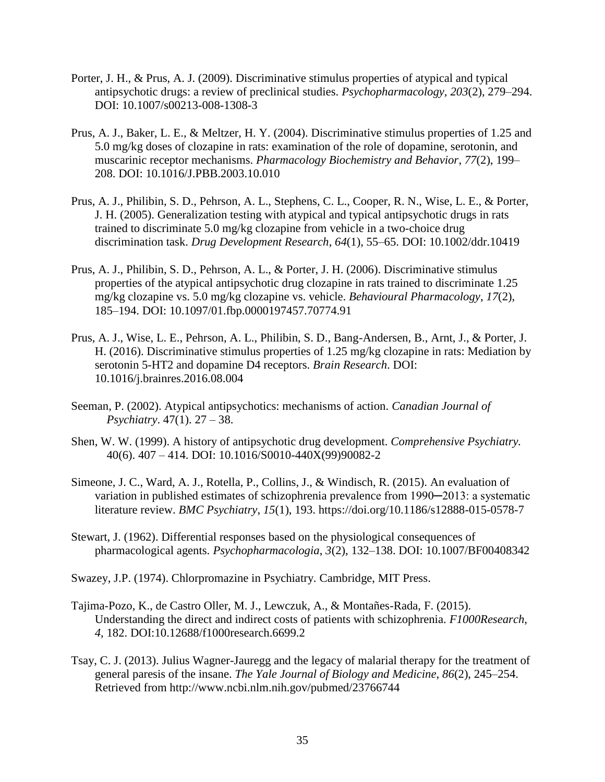- Porter, J. H., & Prus, A. J. (2009). Discriminative stimulus properties of atypical and typical antipsychotic drugs: a review of preclinical studies. *Psychopharmacology*, *203*(2), 279–294. DOI: 10.1007/s00213-008-1308-3
- Prus, A. J., Baker, L. E., & Meltzer, H. Y. (2004). Discriminative stimulus properties of 1.25 and 5.0 mg/kg doses of clozapine in rats: examination of the role of dopamine, serotonin, and muscarinic receptor mechanisms. *Pharmacology Biochemistry and Behavior*, *77*(2), 199– 208. DOI: 10.1016/J.PBB.2003.10.010
- Prus, A. J., Philibin, S. D., Pehrson, A. L., Stephens, C. L., Cooper, R. N., Wise, L. E., & Porter, J. H. (2005). Generalization testing with atypical and typical antipsychotic drugs in rats trained to discriminate 5.0 mg/kg clozapine from vehicle in a two-choice drug discrimination task. *Drug Development Research*, *64*(1), 55–65. DOI: 10.1002/ddr.10419
- Prus, A. J., Philibin, S. D., Pehrson, A. L., & Porter, J. H. (2006). Discriminative stimulus properties of the atypical antipsychotic drug clozapine in rats trained to discriminate 1.25 mg/kg clozapine vs. 5.0 mg/kg clozapine vs. vehicle. *Behavioural Pharmacology*, *17*(2), 185–194. DOI: 10.1097/01.fbp.0000197457.70774.91
- Prus, A. J., Wise, L. E., Pehrson, A. L., Philibin, S. D., Bang-Andersen, B., Arnt, J., & Porter, J. H. (2016). Discriminative stimulus properties of 1.25 mg/kg clozapine in rats: Mediation by serotonin 5-HT2 and dopamine D4 receptors. *Brain Research*. DOI: 10.1016/j.brainres.2016.08.004
- Seeman, P. (2002). Atypical antipsychotics: mechanisms of action. *Canadian Journal of Psychiatry*. 47(1). 27 – 38.
- Shen, W. W. (1999). A history of antipsychotic drug development. *Comprehensive Psychiatry.* 40(6). 407 – 414. DOI: 10.1016/S0010-440X(99)90082-2
- Simeone, J. C., Ward, A. J., Rotella, P., Collins, J., & Windisch, R. (2015). An evaluation of variation in published estimates of schizophrenia prevalence from 1990—2013: a systematic literature review. *BMC Psychiatry*, *15*(1), 193. https://doi.org/10.1186/s12888-015-0578-7
- Stewart, J. (1962). Differential responses based on the physiological consequences of pharmacological agents. *Psychopharmacologia*, *3*(2), 132–138. DOI: 10.1007/BF00408342
- Swazey, J.P. (1974). Chlorpromazine in Psychiatry. Cambridge, MIT Press.
- Tajima-Pozo, K., de Castro Oller, M. J., Lewczuk, A., & Montañes-Rada, F. (2015). Understanding the direct and indirect costs of patients with schizophrenia. *F1000Research*, *4*, 182. DOI:10.12688/f1000research.6699.2
- Tsay, C. J. (2013). Julius Wagner-Jauregg and the legacy of malarial therapy for the treatment of general paresis of the insane. *The Yale Journal of Biology and Medicine*, *86*(2), 245–254. Retrieved from http://www.ncbi.nlm.nih.gov/pubmed/23766744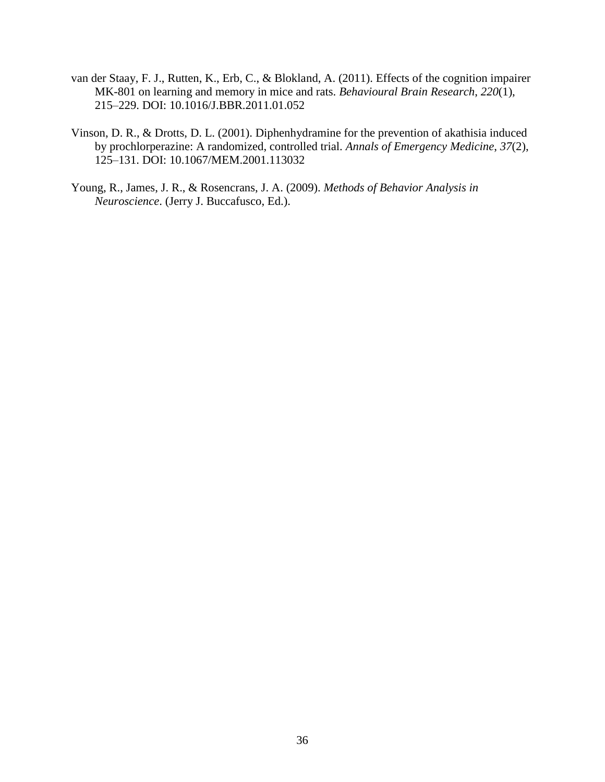- van der Staay, F. J., Rutten, K., Erb, C., & Blokland, A. (2011). Effects of the cognition impairer MK-801 on learning and memory in mice and rats. *Behavioural Brain Research*, *220*(1), 215–229. DOI: 10.1016/J.BBR.2011.01.052
- Vinson, D. R., & Drotts, D. L. (2001). Diphenhydramine for the prevention of akathisia induced by prochlorperazine: A randomized, controlled trial. *Annals of Emergency Medicine*, *37*(2), 125–131. DOI: 10.1067/MEM.2001.113032
- Young, R., James, J. R., & Rosencrans, J. A. (2009). *Methods of Behavior Analysis in Neuroscience*. (Jerry J. Buccafusco, Ed.).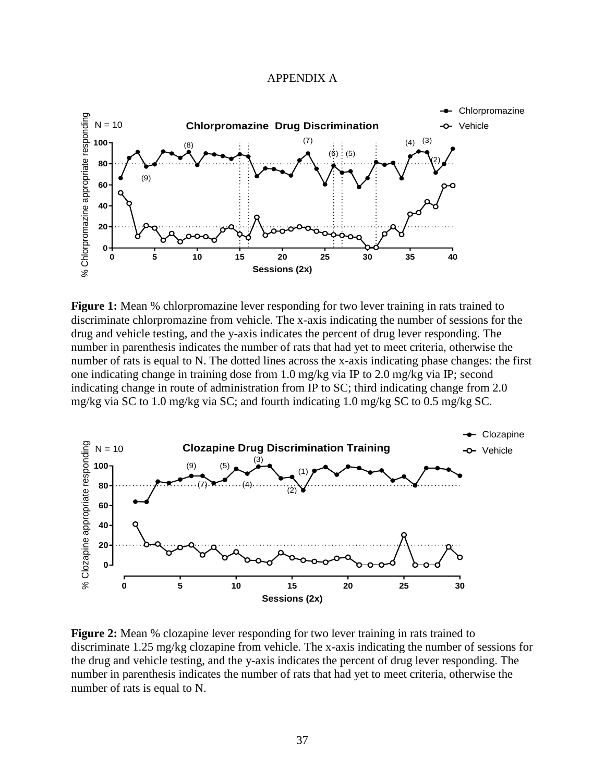#### APPENDIX A



**Figure 1:** Mean % chlorpromazine lever responding for two lever training in rats trained to discriminate chlorpromazine from vehicle. The x-axis indicating the number of sessions for the drug and vehicle testing, and the y-axis indicates the percent of drug lever responding. The number in parenthesis indicates the number of rats that had yet to meet criteria, otherwise the number of rats is equal to N. The dotted lines across the x-axis indicating phase changes: the first one indicating change in training dose from 1.0 mg/kg via IP to 2.0 mg/kg via IP; second indicating change in route of administration from IP to SC; third indicating change from 2.0 mg/kg via SC to 1.0 mg/kg via SC; and fourth indicating 1.0 mg/kg SC to 0.5 mg/kg SC.



**Figure 2:** Mean % clozapine lever responding for two lever training in rats trained to discriminate 1.25 mg/kg clozapine from vehicle. The x-axis indicating the number of sessions for the drug and vehicle testing, and the y-axis indicates the percent of drug lever responding. The number in parenthesis indicates the number of rats that had yet to meet criteria, otherwise the number of rats is equal to N.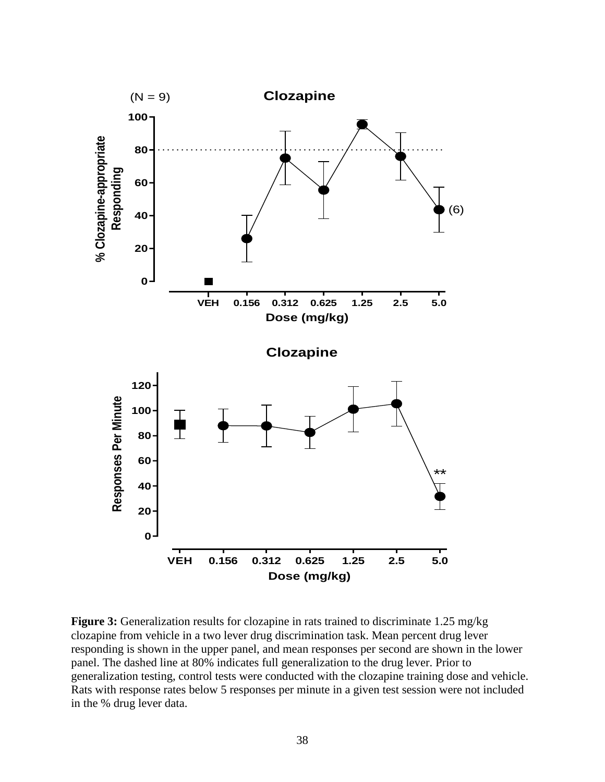

**Figure 3:** Generalization results for clozapine in rats trained to discriminate 1.25 mg/kg clozapine from vehicle in a two lever drug discrimination task. Mean percent drug lever responding is shown in the upper panel, and mean responses per second are shown in the lower panel. The dashed line at 80% indicates full generalization to the drug lever. Prior to generalization testing, control tests were conducted with the clozapine training dose and vehicle. Rats with response rates below 5 responses per minute in a given test session were not included in the % drug lever data.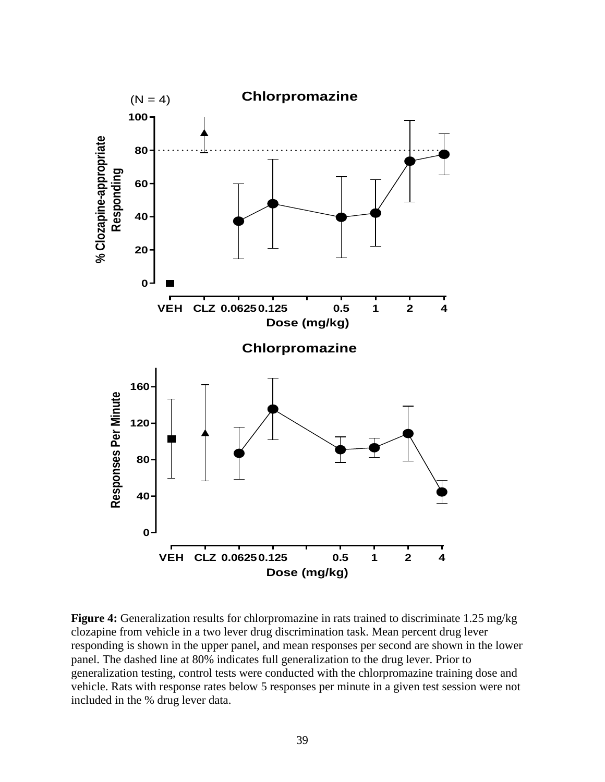

**Figure 4:** Generalization results for chlorpromazine in rats trained to discriminate 1.25 mg/kg clozapine from vehicle in a two lever drug discrimination task. Mean percent drug lever responding is shown in the upper panel, and mean responses per second are shown in the lower panel. The dashed line at 80% indicates full generalization to the drug lever. Prior to generalization testing, control tests were conducted with the chlorpromazine training dose and vehicle. Rats with response rates below 5 responses per minute in a given test session were not included in the % drug lever data.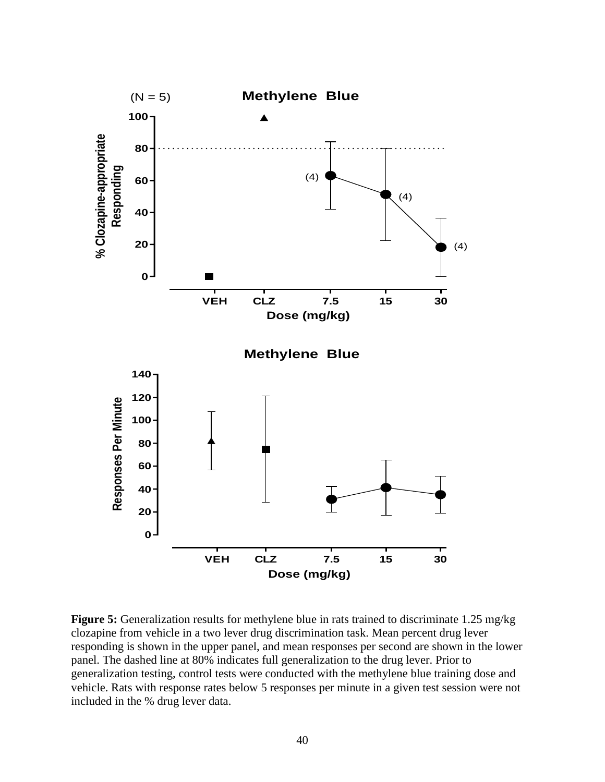

**Figure 5:** Generalization results for methylene blue in rats trained to discriminate 1.25 mg/kg clozapine from vehicle in a two lever drug discrimination task. Mean percent drug lever responding is shown in the upper panel, and mean responses per second are shown in the lower panel. The dashed line at 80% indicates full generalization to the drug lever. Prior to generalization testing, control tests were conducted with the methylene blue training dose and vehicle. Rats with response rates below 5 responses per minute in a given test session were not included in the % drug lever data.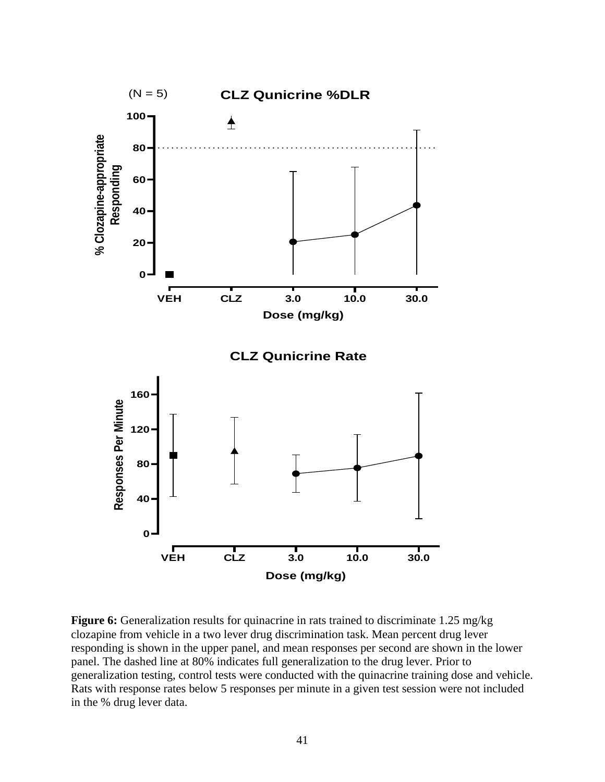

**Figure 6:** Generalization results for quinacrine in rats trained to discriminate 1.25 mg/kg clozapine from vehicle in a two lever drug discrimination task. Mean percent drug lever responding is shown in the upper panel, and mean responses per second are shown in the lower panel. The dashed line at 80% indicates full generalization to the drug lever. Prior to generalization testing, control tests were conducted with the quinacrine training dose and vehicle. Rats with response rates below 5 responses per minute in a given test session were not included in the % drug lever data.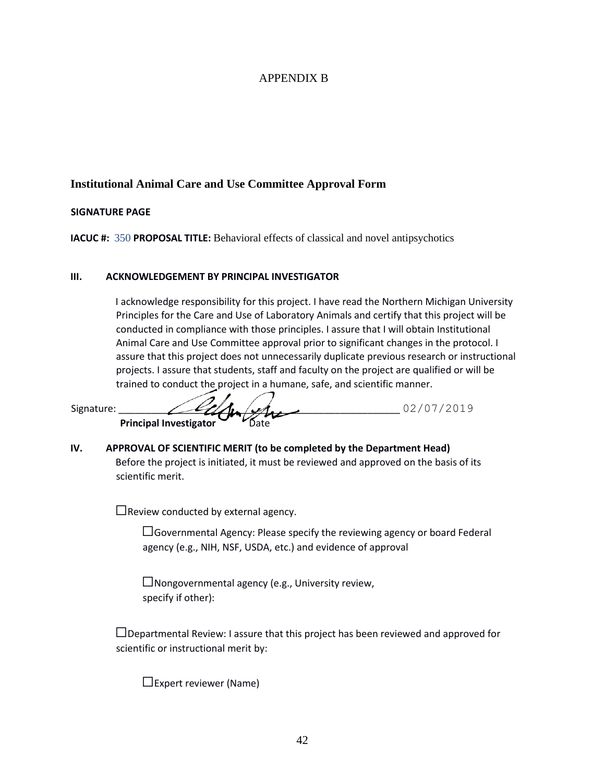## APPENDIX B

## **Institutional Animal Care and Use Committee Approval Form**

#### **SIGNATURE PAGE**

**IACUC #:** 350 **PROPOSAL TITLE:** Behavioral effects of classical and novel antipsychotics

#### **III. ACKNOWLEDGEMENT BY PRINCIPAL INVESTIGATOR**

I acknowledge responsibility for this project. I have read the Northern Michigan University Principles for the Care and Use of Laboratory Animals and certify that this project will be conducted in compliance with those principles. I assure that I will obtain Institutional Animal Care and Use Committee approval prior to significant changes in the protocol. I assure that this project does not unnecessarily duplicate previous research or instructional projects. I assure that students, staff and faculty on the project are qualified or will be trained to conduct the project in a humane, safe, and scient[ific manner.](http://www.rightsignature.com/documents/VLG4ULIGD382S7U889TTR3) 

Signature:  $\angle \mathscr{L}_{\mathscr{L}_{\mathscr{A}}}(\mathscr{L}_{\mathscr{A}_{\mathscr{A}}} \mathscr{L}_{\mathscr{A}_{\mathscr{A}}} \mathscr{L}_{\mathscr{A}})$ 

**IV. APPR[OVAL OF SCIENTIFIC MERIT \(to be comp](http://www.rightsignature.com/documents/VLG4ULIGD382S7U889TTR3)leted by the Department Head)**

Before the project is initiated, it must be reviewed and approved on the basis of its scientific merit.

 $\Box$ Review conducted by external agency.

**Prin[cipal Investigator](http://www.rightsignature.com/documents/VLG4ULIGD382S7U889TTR3)** 

☐Governmental Agency: Please specify the reviewing agency or board Federal agency (e.g., NIH, NSF, USDA, etc.) and evidence of approval

 $\square$ Nongovernmental agency (e.g., University review, specify if other):

☐Departmental Review: I assure that this project has been reviewed and approved for scientific or instructional merit by:

☐Expert reviewer (Name)